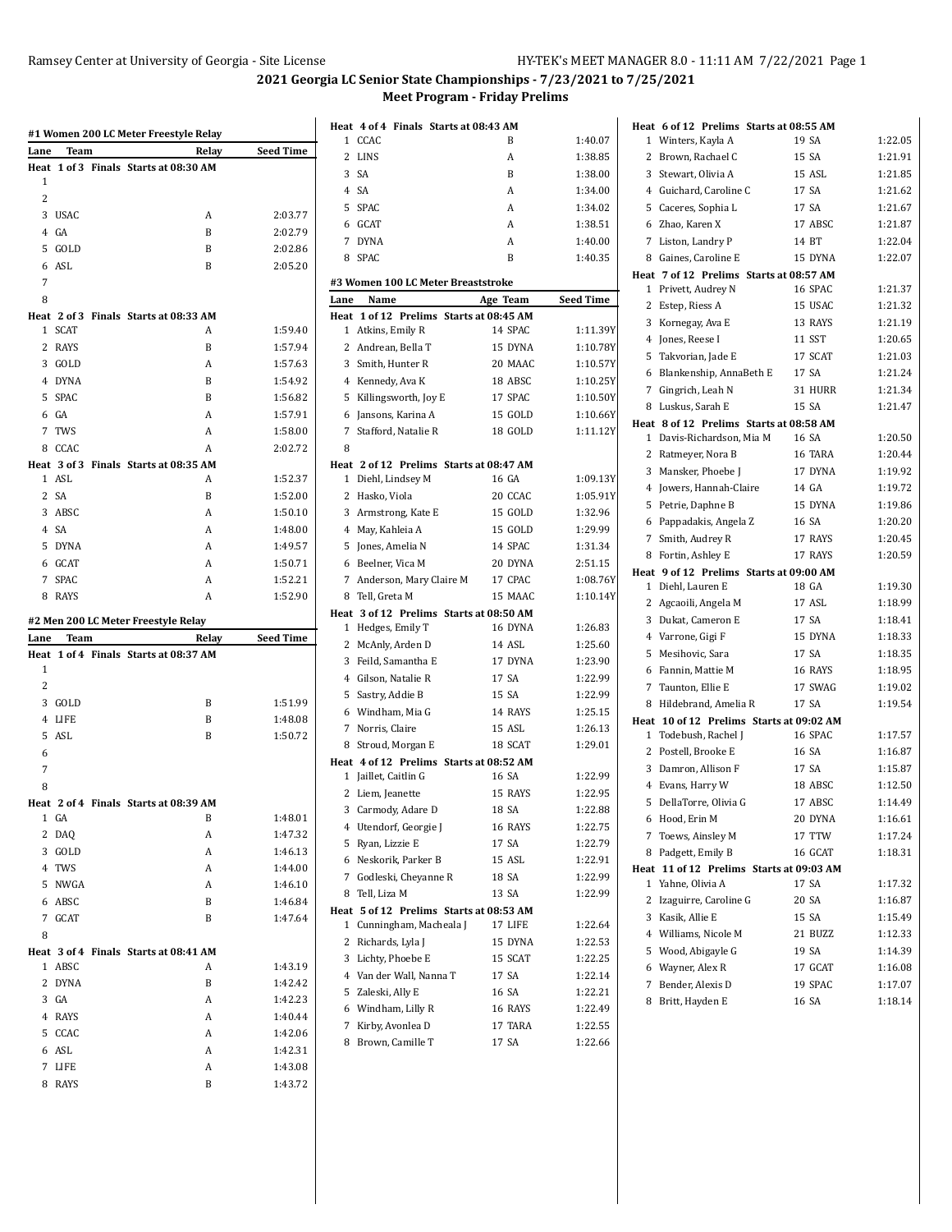| Lane           | Team           | Relay                                      | <b>Seed Time</b>                         |
|----------------|----------------|--------------------------------------------|------------------------------------------|
|                |                | Heat 1 of 3 Finals Starts at 08:30 AM      |                                          |
| 1              |                |                                            |                                          |
| 2              |                |                                            |                                          |
|                | 3 USAC         | A                                          | 2:03.77                                  |
|                | 4 GA<br>5 GOLD | B<br>B                                     | 2:02.79<br>2:02.86                       |
|                | 6 ASL          | B                                          | 2:05.20                                  |
| 7              |                |                                            |                                          |
| 8              |                |                                            |                                          |
|                |                | Heat 2 of 3 Finals Starts at 08:33 AM      |                                          |
|                | 1 SCAT         | А                                          | 1:59.40                                  |
|                | 2 RAYS         | B                                          | 1:57.94                                  |
|                | 3 GOLD         | A                                          | 1:57.63                                  |
|                | 4 DYNA         | B                                          | 1:54.92                                  |
|                | 5 SPAC         | B                                          | 1:56.82                                  |
|                | 6 GA           | A                                          | 1:57.91                                  |
|                | 7 TWS          | A                                          | 1:58.00                                  |
|                | 8 CCAC         | A                                          | 2:02.72                                  |
|                |                | Heat 3 of 3 Finals Starts at 08:35 AM      |                                          |
|                | 1 ASL          | A                                          | 1:52.37                                  |
|                | 2 SA           | B                                          | 1:52.00                                  |
|                | 3 ABSC         | A                                          | 1:50.10                                  |
|                | 4 SA           | A                                          | 1:48.00                                  |
|                | 5 DYNA         | A                                          | 1:49.57                                  |
|                | 6 GCAT         | A                                          | 1:50.71                                  |
|                | 7 SPAC         | A                                          | 1:52.21                                  |
|                | 8 RAYS         | A                                          | 1:52.90                                  |
|                |                | #2 Men 200 LC Meter Freestyle Relay        |                                          |
|                |                |                                            |                                          |
|                | Team           | Relay                                      | <b>Seed Time</b>                         |
|                |                | Heat 1 of 4 Finals Starts at 08:37 AM      |                                          |
| 1              |                |                                            |                                          |
| $\overline{2}$ |                |                                            |                                          |
|                | 3 GOLD         | B                                          | 1:51.99                                  |
|                | 4 LIFE         | B                                          |                                          |
|                | 5 ASL          | B                                          |                                          |
| 6<br>7         |                |                                            | 1:48.08<br>1:50.72                       |
| 8              |                |                                            |                                          |
|                |                |                                            |                                          |
|                | 1 GA           | Heat 2 of 4 Finals Starts at 08:39 AM<br>B | 1:48.01                                  |
|                | 2 DAQ          | A                                          | 1:47.32                                  |
|                | 3 GOLD         | A                                          | 1:46.13                                  |
|                | 4 TWS          | A                                          | 1:44.00                                  |
|                | 5 NWGA         | A                                          | 1:46.10                                  |
|                | 6 ABSC         | B                                          | 1:46.84                                  |
|                | 7 GCAT         | B                                          |                                          |
| 8              |                |                                            | 1:47.64                                  |
|                |                | Heat 3 of 4 Finals Starts at 08:41 AM      |                                          |
|                | 1 ABSC         | A                                          |                                          |
|                | 2 DYNA         | B                                          |                                          |
|                | 3 GA           | A                                          |                                          |
|                | 4 RAYS         | Α                                          | 1:43.19<br>1:42.42<br>1:42.23<br>1:40.44 |
|                | 5 CCAC         | A                                          | 1:42.06                                  |
| Lane           | 6 ASL          | A                                          | 1:42.31                                  |
| $7^{\circ}$    | LIFE<br>8 RAYS | A<br>B                                     | 1:43.08<br>1:43.72                       |

|      | Heat 4 of 4 Finals Starts at 08:43 AM                         |                  |                     |
|------|---------------------------------------------------------------|------------------|---------------------|
| 1    | CCAC                                                          | B                | 1:40.07             |
|      | 2 LINS                                                        | A                | 1:38.85             |
|      | 3 SA                                                          | B                | 1:38.00             |
|      | 4 SA                                                          | A                | 1:34.00             |
|      | 5 SPAC                                                        | A                | 1:34.02             |
|      | 6 GCAT                                                        | A                | 1:38.51             |
|      | 7 DYNA                                                        | A                | 1:40.00             |
|      | 8 SPAC                                                        | B                | 1:40.35             |
|      |                                                               |                  |                     |
|      | #3 Women 100 LC Meter Breaststroke                            |                  |                     |
| Lane | Name                                                          | Age Team         | <b>Seed Time</b>    |
|      | Heat 1 of 12 Prelims Starts at 08:45 AM                       | 14 SPAC          | 1:11.39Y            |
|      | 1 Atkins, Emily R                                             |                  |                     |
|      | 2 Andrean, Bella T                                            | 15 DYNA          | 1:10.78Y            |
|      | 3 Smith, Hunter R                                             | 20 MAAC          | 1:10.57Y            |
|      | 4 Kennedy, Ava K                                              | 18 ABSC          | 1:10.25Y            |
|      | 5 Killingsworth, Joy E                                        | 17 SPAC          | 1:10.50Y            |
|      | 6 Jansons, Karina A                                           | 15 GOLD          | 1:10.66Y            |
|      | 7 Stafford, Natalie R                                         | 18 GOLD          | 1:11.12Y            |
| 8    |                                                               |                  |                     |
|      | Heat 2 of 12 Prelims Starts at 08:47 AM                       |                  |                     |
|      | 1 Diehl, Lindsey M                                            | 16 GA<br>20 CCAC | 1:09.13Y            |
|      | 2 Hasko, Viola                                                |                  | 1:05.91Y<br>1:32.96 |
|      | 3 Armstrong, Kate E                                           | 15 GOLD          |                     |
|      | 4 May, Kahleia A                                              | 15 GOLD          | 1:29.99             |
|      | 5 Jones, Amelia N                                             | 14 SPAC          | 1:31.34             |
|      | 6 Beelner, Vica M                                             | 20 DYNA          | 2:51.15             |
|      | 7 Anderson, Mary Claire M                                     | 17 CPAC          | 1:08.76Y            |
|      | 8 Tell, Greta M                                               | 15 MAAC          | 1:10.14Y            |
|      | Heat 3 of 12 Prelims Starts at 08:50 AM<br>1 Hedges, Emily T  | 16 DYNA          | 1:26.83             |
|      |                                                               | 14 ASL           | 1:25.60             |
|      | 2 McAnly, Arden D                                             | 17 DYNA          | 1:23.90             |
|      | 3 Feild, Samantha E                                           |                  |                     |
|      | 4 Gilson, Natalie R                                           | 17 SA            | 1:22.99             |
|      | 5 Sastry, Addie B                                             | 15 SA            | 1:22.99<br>1:25.15  |
|      | 6 Windham, Mia G                                              | 14 RAYS          |                     |
|      | 7 Norris, Claire                                              | 15 ASL           | 1:26.13             |
|      | 8 Stroud, Morgan E                                            | 18 SCAT          | 1:29.01             |
| 1    | Heat 4 of 12 Prelims Starts at 08:52 AM<br>Jaillet, Caitlin G | 16 SA            | 1:22.99             |
| 2    | Liem, Jeanette                                                | 15 RAYS          | 1:22.95             |
|      | 3 Carmody, Adare D                                            | 18 SA            | 1:22.88             |
|      | 4 Utendorf, Georgie J                                         | 16 RAYS          | 1:22.75             |
| 5    | Ryan, Lizzie E                                                | 17 SA            | 1:22.79             |
|      | 6 Neskorik, Parker B                                          | 15 ASL           | 1:22.91             |
|      | 7 Godleski, Cheyanne R                                        | 18 SA            | 1:22.99             |
| 8    | Tell, Liza M                                                  | 13 SA            | 1:22.99             |
|      | Heat 5 of 12 Prelims Starts at 08:53 AM                       |                  |                     |
| 1    | Cunningham, Macheala J                                        | 17 LIFE          | 1:22.64             |
|      | 2 Richards, Lyla J                                            | 15 DYNA          | 1:22.53             |
|      | 3 Lichty, Phoebe E                                            | 15 SCAT          | 1:22.25             |
|      | 4 Van der Wall, Nanna T                                       | 17 SA            | 1:22.14             |
| 5    | Zaleski, Ally E                                               | 16 SA            | 1:22.21             |
|      | 6 Windham, Lilly R                                            | 16 RAYS          | 1:22.49             |
|      | 7 Kirby, Avonlea D                                            | 17 TARA          | 1:22.55             |
|      | 8 Brown, Camille T                                            | 17 SA            | 1:22.66             |
|      |                                                               |                  |                     |

|              | Heat 6 of 12 Prelims Starts at 08:55 AM  |         |         |
|--------------|------------------------------------------|---------|---------|
| $\mathbf{1}$ | Winters, Kayla A                         | 19 SA   | 1:22.05 |
| 2            | Brown, Rachael C                         | 15 SA   | 1:21.91 |
| 3            | Stewart, Olivia A                        | 15 ASL  | 1:21.85 |
|              | 4 Guichard, Caroline C                   | 17 SA   | 1:21.62 |
| 5            | Caceres, Sophia L                        | 17 SA   | 1:21.67 |
|              | 6 Zhao, Karen X                          | 17 ABSC | 1:21.87 |
| $7^{\circ}$  | Liston, Landry P                         | 14 BT   | 1:22.04 |
|              | 8 Gaines, Caroline E                     | 15 DYNA | 1:22.07 |
|              | Heat 7 of 12 Prelims Starts at 08:57 AM  |         |         |
| $\mathbf{1}$ | Privett, Audrey N                        | 16 SPAC | 1:21.37 |
| $\mathbf{2}$ | Estep, Riess A                           | 15 USAC | 1:21.32 |
|              | 3 Kornegay, Ava E                        | 13 RAYS | 1:21.19 |
|              | 4 Jones, Reese I                         | 11 SST  | 1:20.65 |
| 5            | Takvorian, Jade E                        | 17 SCAT | 1:21.03 |
|              | 6 Blankenship, AnnaBeth E                | 17 SA   | 1:21.24 |
| $7^{\circ}$  | Gingrich, Leah N                         | 31 HURR | 1:21.34 |
|              | 8 Luskus, Sarah E                        | 15 SA   | 1:21.47 |
|              | Heat 8 of 12 Prelims Starts at 08:58 AM  |         |         |
| 1            | Davis-Richardson, Mia M                  | 16 SA   | 1:20.50 |
|              | 2 Ratmeyer, Nora B                       | 16 TARA | 1:20.44 |
| 3            | Mansker, Phoebe J                        | 17 DYNA | 1:19.92 |
|              | 4 Jowers, Hannah-Claire                  | 14 GA   | 1:19.72 |
|              | 5 Petrie, Daphne B                       | 15 DYNA | 1:19.86 |
|              | 6 Pappadakis, Angela Z                   | 16 SA   | 1:20.20 |
| $7^{\circ}$  | Smith, Audrey R                          | 17 RAYS | 1:20.45 |
|              | 8 Fortin, Ashley E                       | 17 RAYS | 1:20.59 |
|              | Heat 9 of 12 Prelims Starts at 09:00 AM  |         |         |
|              | 1 Diehl, Lauren E                        | 18 GA   | 1:19.30 |
|              | 2 Agcaoili, Angela M                     | 17 ASL  | 1:18.99 |
|              | 3 Dukat, Cameron E                       | 17 SA   | 1:18.41 |
|              | 4 Varrone, Gigi F                        | 15 DYNA | 1:18.33 |
| 5            | Mesihovic, Sara                          | 17 SA   | 1:18.35 |
|              | 6 Fannin, Mattie M                       | 16 RAYS | 1:18.95 |
|              | 7 Taunton, Ellie E                       | 17 SWAG | 1:19.02 |
|              | 8 Hildebrand, Amelia R                   | 17 SA   | 1:19.54 |
|              | Heat 10 of 12 Prelims Starts at 09:02 AM |         |         |
|              | 1 Todebush, Rachel J                     | 16 SPAC | 1:17.57 |
|              | 2 Postell, Brooke E                      | 16 SA   | 1:16.87 |
| 3            | Damron, Allison F                        | 17 SA   | 1:15.87 |
|              | 4 Evans, Harry W                         | 18 ABSC | 1:12.50 |
| 5            | DellaTorre, Olivia G                     | 17 ABSC | 1:14.49 |
|              | 6 Hood, Erin M                           | 20 DYNA | 1:16.61 |
| 7            | Toews, Ainsley M                         | 17 TTW  | 1:17.24 |
|              | 8 Padgett, Emily B                       | 16 GCAT | 1:18.31 |
|              | Heat 11 of 12 Prelims Starts at 09:03 AM |         |         |
| 1            | Yahne, Olivia A                          | 17 SA   | 1:17.32 |
| 2            | Izaguirre, Caroline G                    | 20 SA   | 1:16.87 |
|              | 3 Kasik, Allie E                         | 15 SA   | 1:15.49 |
|              | 4 Williams, Nicole M                     | 21 BUZZ | 1:12.33 |
|              | 5 Wood, Abigayle G                       | 19 SA   | 1:14.39 |
|              | 6 Wayner, Alex R                         | 17 GCAT | 1:16.08 |
| 7            | Bender, Alexis D                         | 19 SPAC | 1:17.07 |
| 8            | Britt, Hayden E                          | 16 SA   | 1:18.14 |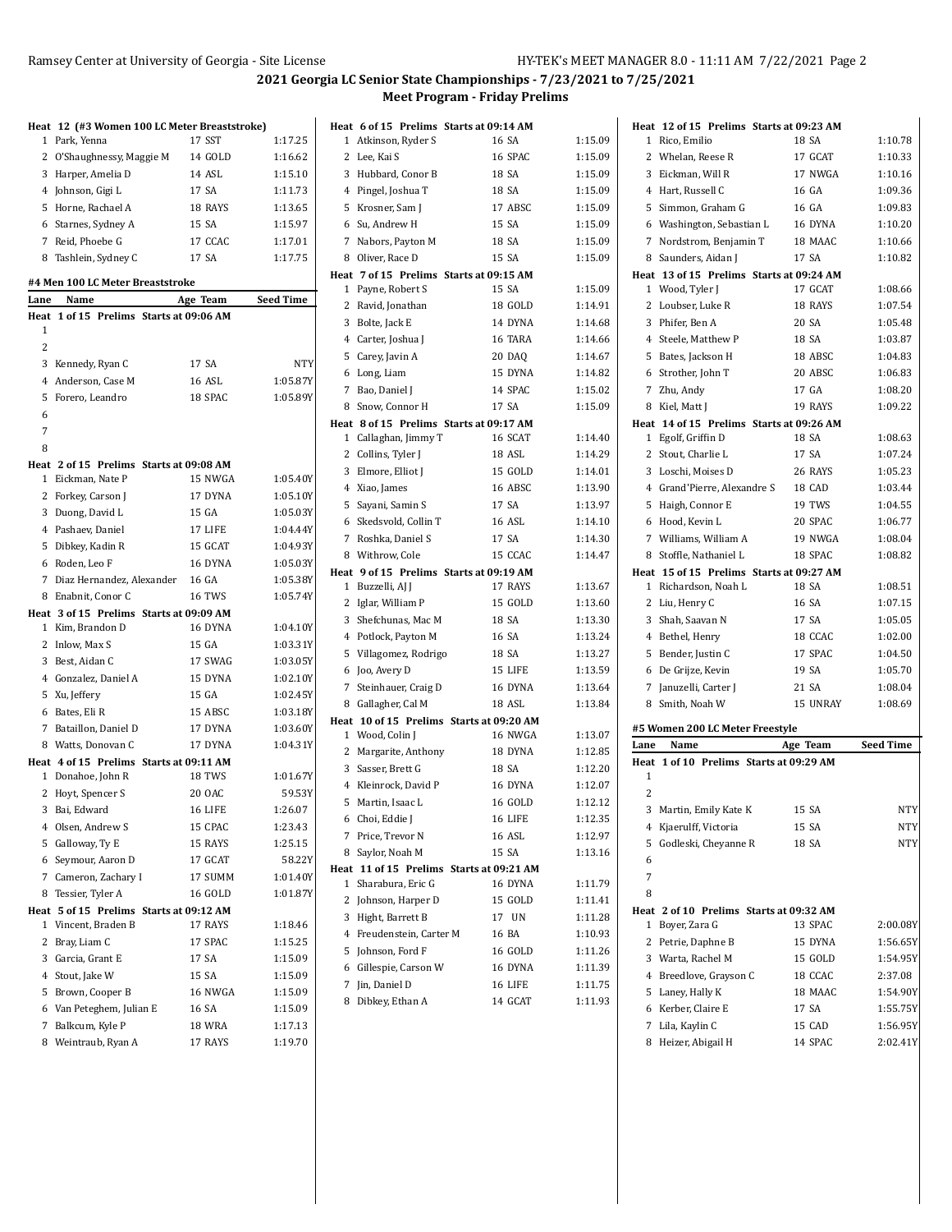|                | Heat 12 (#3 Women 100 LC Meter Breaststroke)                  |               |           |
|----------------|---------------------------------------------------------------|---------------|-----------|
| 1              | Park, Yenna                                                   | 17 SST        | 1:17.25   |
| 2              | O'Shaughnessy, Maggie M                                       | 14 GOLD       | 1:16.62   |
|                | 3 Harper, Amelia D                                            | 14 ASL        | 1:15.10   |
|                | 4 Johnson, Gigi L                                             | 17 SA         | 1:11.73   |
|                | 5 Horne, Rachael A                                            | 18 RAYS       | 1:13.65   |
|                | 6 Starnes, Sydney A                                           | 15 SA         | 1:15.97   |
|                | 7 Reid, Phoebe G                                              | 17 CCAC       | 1:17.01   |
|                | 8 Tashlein, Sydney C                                          | 17 SA         | 1:17.75   |
|                | #4 Men 100 LC Meter Breaststroke                              |               |           |
| Lane           | Name                                                          | Age Team      | Seed Time |
| Heat           | 1 of 15 Prelims Starts at 09:06 AM                            |               |           |
| 1              |                                                               |               |           |
| $\overline{2}$ |                                                               |               |           |
|                | 3 Kennedy, Ryan C                                             | 17 SA         | NTY       |
|                | 4 Anderson, Case M                                            | <b>16 ASL</b> | 1:05.87Y  |
| 5              | Forero, Leandro                                               | 18 SPAC       | 1:05.89Y  |
| 6              |                                                               |               |           |
| 7              |                                                               |               |           |
| 8              |                                                               |               |           |
|                | Heat 2 of 15 Prelims Starts at 09:08 AM                       |               |           |
| 1              | Eickman, Nate P                                               | 15 NWGA       | 1:05.40Y  |
|                | 2 Forkey, Carson J                                            | 17 DYNA       | 1:05.10Y  |
|                | 3 Duong, David L                                              | 15 GA         | 1:05.03Y  |
|                | 4 Pashaev, Daniel                                             | 17 LIFE       | 1:04.44Y  |
|                | 5 Dibkey, Kadin R                                             | 15 GCAT       | 1:04.93Y  |
|                | 6 Roden, Leo F                                                | 16 DYNA       | 1:05.03Y  |
|                | 7 Diaz Hernandez, Alexander                                   | 16 GA         | 1:05.38Y  |
|                | 8 Enabnit, Conor C<br>Heat 3 of 15 Prelims Starts at 09:09 AM | 16 TWS        | 1:05.74Y  |
|                | 1 Kim, Brandon D                                              | 16 DYNA       | 1:04.10Y  |
|                | 2 Inlow, Max S                                                | 15 GA         | 1:03.31Y  |
|                | 3 Best, Aidan C                                               | 17 SWAG       | 1:03.05Y  |
|                | 4 Gonzalez, Daniel A                                          | 15 DYNA       | 1:02.10Y  |
|                | 5 Xu, Jeffery                                                 | 15 GA         | 1:02.45Y  |
|                | 6 Bates, Eli R                                                | 15 ABSC       | 1:03.18Y  |
|                | 7 Bataillon, Daniel D                                         | 17 DYNA       | 1:03.60Y  |
|                | 8 Watts, Donovan C                                            | 17 DYNA       | 1:04.31Y  |
|                | Heat 4 of 15 Prelims Starts at 09:11 AM                       |               |           |
|                | 1 Donahoe, John R                                             | 18 TWS        | 1:01.67Y  |
|                | 2 Hoyt, Spencer S                                             | 20 OAC        | 59.53Y    |
|                | 3 Bai, Edward                                                 | 16 LIFE       | 1:26.07   |
|                | 4 Olsen, Andrew S                                             | 15 CPAC       | 1:23.43   |
|                | 5 Galloway, Ty E                                              | 15 RAYS       | 1:25.15   |
|                | 6 Seymour, Aaron D                                            | 17 GCAT       | 58.22Y    |
|                | 7 Cameron, Zachary I                                          | 17 SUMM       | 1:01.40Y  |
|                | 8 Tessier, Tyler A                                            | 16 GOLD       | 1:01.87Y  |
|                | Heat 5 of 15 Prelims Starts at 09:12 AM                       |               |           |
|                | 1 Vincent, Braden B                                           | 17 RAYS       | 1:18.46   |
|                | 2 Bray, Liam C                                                | 17 SPAC       | 1:15.25   |
|                | 3 Garcia, Grant E                                             | 17 SA         | 1:15.09   |
|                | 4 Stout, Jake W                                               | 15 SA         | 1:15.09   |
|                | 5 Brown, Cooper B                                             | 16 NWGA       | 1:15.09   |
|                | 6 Van Peteghem, Julian E                                      | 16 SA         | 1:15.09   |
|                | 7 Balkcum, Kyle P                                             | <b>18 WRA</b> | 1:17.13   |
|                | 8 Weintraub, Ryan A                                           | 17 RAYS       | 1:19.70   |

|   |                                           | Heat 6 of 15 Prelims Starts at 09:14 AM  |                    |
|---|-------------------------------------------|------------------------------------------|--------------------|
| 1 | Atkinson, Ryder S                         | 16 SA                                    | 1:15.09            |
|   | 2 Lee, Kai S                              | 16 SPAC                                  | 1:15.09            |
|   | 3 Hubbard, Conor B                        | 18 SA                                    | 1:15.09            |
|   | 4 Pingel, Joshua T                        | 18 SA                                    | 1:15.09            |
|   | 5 Krosner, Sam J                          | 17 ABSC                                  | 1:15.09            |
|   | 6 Su, Andrew H                            | 15 SA                                    | 1:15.09            |
|   | 7 Nabors, Payton M                        | 18 SA                                    | 1:15.09            |
|   | 8 Oliver, Race D                          | 15 SA                                    | 1:15.09            |
|   |                                           | Heat 7 of 15 Prelims Starts at 09:15 AM  |                    |
|   | 1 Payne, Robert S                         | 15 SA                                    | 1:15.09            |
|   | 2 Ravid, Jonathan                         | 18 GOLD<br>14 DYNA                       | 1:14.91            |
|   | 3 Bolte, Jack E                           | 16 TARA                                  | 1:14.68<br>1:14.66 |
|   | 4 Carter, Joshua J                        |                                          |                    |
|   | 5 Carey, Javin A                          | 20 DAQ                                   | 1:14.67            |
|   | 6 Long, Liam                              | 15 DYNA                                  | 1:14.82            |
|   | 7 Bao, Daniel J                           | 14 SPAC<br>17 SA                         | 1:15.02<br>1:15.09 |
| 8 | Snow, Connor H                            | Heat 8 of 15 Prelims Starts at 09:17 AM  |                    |
|   | 1 Callaghan, Jimmy T                      | 16 SCAT                                  | 1:14.40            |
|   | 2 Collins, Tyler J                        | 18 ASL                                   | 1:14.29            |
|   | 3 Elmore, Elliot J                        | 15 GOLD                                  | 1:14.01            |
|   | 4 Xiao, James                             | 16 ABSC                                  | 1:13.90            |
|   | 5 Sayani, Samin S                         | 17 SA                                    | 1:13.97            |
|   | 6 Skedsvold, Collin T                     | 16 ASL                                   | 1:14.10            |
|   | 7 Roshka, Daniel S                        | 17 SA                                    | 1:14.30            |
|   | 8 Withrow, Cole                           | 15 CCAC                                  | 1:14.47            |
|   |                                           | Heat 9 of 15 Prelims Starts at 09:19 AM  |                    |
|   | 1 Buzzelli, AJ J                          | 17 RAYS                                  | 1:13.67            |
|   | 2 Iglar, William P                        | 15 GOLD                                  | 1:13.60            |
|   | 3 Shefchunas, Mac M                       | 18 SA                                    | 1:13.30            |
|   | 4 Potlock, Payton M                       | 16 SA                                    | 1:13.24            |
|   | 5 Villagomez, Rodrigo                     | 18 SA                                    | 1:13.27            |
|   | 6 Joo, Avery D                            | 15 LIFE                                  | 1:13.59            |
| 7 | Steinhauer, Craig D                       | 16 DYNA                                  | 1:13.64            |
|   | 8 Gallagher, Cal M                        | 18 ASL                                   | 1:13.84            |
|   |                                           | Heat 10 of 15 Prelims Starts at 09:20 AM |                    |
|   | 1 Wood, Colin J                           | 16 NWGA                                  | 1:13.07            |
|   | 2 Margarite, Anthony                      | 18 DYNA                                  | 1:12.85            |
|   | 3 Sasser, Brett G                         | 18 SA<br>16 DYNA                         | 1:12.20<br>1:12.07 |
|   | 4 Kleinrock, David P<br>5 Martin, Isaac L | 16 GOLD                                  | 1:12.12            |
|   | 6 Choi, Eddie J                           | 16 LIFE                                  | 1:12.35            |
| 7 | Price, Trevor N                           | 16 ASL                                   | 1:12.97            |
| 8 | Saylor, Noah M                            | 15 SA                                    | 1:13.16            |
|   |                                           | Heat 11 of 15 Prelims Starts at 09:21 AM |                    |
| 1 | Sharabura, Eric G                         | 16 DYNA                                  | 1:11.79            |
| 2 | Johnson, Harper D                         | 15 GOLD                                  | 1:11.41            |
|   | 3 Hight, Barrett B                        | 17 UN                                    | 1:11.28            |
|   | 4 Freudenstein, Carter M                  | 16 BA                                    | 1:10.93            |
|   | 5 Johnson, Ford F                         | 16 GOLD                                  | 1:11.26            |
|   | 6 Gillespie, Carson W                     | 16 DYNA                                  | 1:11.39            |
| 7 | Jin, Daniel D                             | 16 LIFE                                  | 1:11.75            |
|   | 8 Dibkey, Ethan A                         | 14 GCAT                                  | 1:11.93            |

| Heat 12 of 15 Prelims Starts at 09:23 AM   |          |                  |
|--------------------------------------------|----------|------------------|
| 1 Rico, Emilio                             | 18 SA    | 1:10.78          |
| 2 Whelan, Reese R                          | 17 GCAT  | 1:10.33          |
| 3<br>Eickman, Will R                       | 17 NWGA  | 1:10.16          |
| 4 Hart, Russell C                          | 16 GA    | 1:09.36          |
| 5<br>Simmon, Graham G                      | 16 GA    | 1:09.83          |
| 6 Washington, Sebastian L                  | 16 DYNA  | 1:10.20          |
| 7 Nordstrom, Benjamin T                    | 18 MAAC  | 1:10.66          |
| Saunders, Aidan J<br>8                     | 17 SA    | 1:10.82          |
| Heat 13 of 15 Prelims Starts at 09:24 AM   |          |                  |
| 1 Wood, Tyler J                            | 17 GCAT  | 1:08.66          |
| 2 Loubser, Luke R                          | 18 RAYS  | 1:07.54          |
| 3 Phifer, Ben A                            | 20 SA    | 1:05.48          |
| 4 Steele, Matthew P                        | 18 SA    | 1:03.87          |
| 5<br>Bates, Jackson H                      | 18 ABSC  | 1:04.83          |
| 6 Strother, John T                         | 20 ABSC  | 1:06.83          |
| 7 Zhu, Andy                                | 17 GA    | 1:08.20          |
| 8 Kiel, Matt J                             | 19 RAYS  | 1:09.22          |
| Heat 14 of 15 Prelims Starts at 09:26 AM   |          |                  |
| Egolf, Griffin D<br>1                      | 18 SA    | 1:08.63          |
| 2 Stout, Charlie L                         | 17 SA    | 1:07.24          |
| 3<br>Loschi, Moises D                      | 26 RAYS  | 1:05.23          |
| 4 Grand'Pierre, Alexandre S                | 18 CAD   | 1:03.44          |
| 5<br>Haigh, Connor E                       | 19 TWS   | 1:04.55          |
| 6 Hood, Kevin L                            | 20 SPAC  | 1:06.77          |
| 7 Williams, William A                      | 19 NWGA  | 1:08.04          |
| Stoffle, Nathaniel L<br>8                  | 18 SPAC  | 1:08.82          |
| Heat 15 of 15 Prelims Starts at 09:27 AM   |          |                  |
| Richardson, Noah L<br>1                    | 18 SA    | 1:08.51          |
| 2 Liu, Henry C                             | 16 SA    | 1:07.15          |
| 3<br>Shah, Saavan N                        | 17 SA    | 1:05.05          |
| 4 Bethel, Henry                            | 18 CCAC  | 1:02.00          |
| 5 Bender, Justin C                         | 17 SPAC  | 1:04.50          |
| De Grijze, Kevin<br>6                      | 19 SA    | 1:05.70          |
| 7<br>Januzelli, Carter J                   | 21 SA    | 1:08.04          |
| Smith, Noah W<br>8                         | 15 UNRAY | 1:08.69          |
| #5 Women 200 LC Meter Freestyle            |          |                  |
| Name<br>Lane                               | Age Team | <b>Seed Time</b> |
| 1 of 10 Prelims Starts at 09:29 AM<br>Heat |          |                  |
| 1                                          |          |                  |
| $\overline{c}$                             |          |                  |
|                                            |          |                  |
| 3<br>Martin, Emily Kate K                  | 15 SA    | <b>NTY</b>       |
| 4 Kjaerulff, Victoria                      | 15 SA    | NTY              |
| 5<br>Godleski, Cheyanne R                  | 18 SA    | <b>NTY</b>       |
| 6                                          |          |                  |
| 7                                          |          |                  |
| 8                                          |          |                  |
| Heat<br>2 of 10 Prelims Starts at 09:32 AM |          |                  |
| Boyer, Zara G<br>1                         | 13 SPAC  | 2:00.08Y         |
| 2<br>Petrie, Daphne B                      | 15 DYNA  | 1:56.65Y         |
| 3 Warta, Rachel M                          | 15 GOLD  | 1:54.95Y         |
| 4<br>Breedlove, Grayson C                  | 18 CCAC  | 2:37.08          |
| 5<br>Laney, Hally K                        | 18 MAAC  | 1:54.90Y         |
| 6 Kerber, Claire E                         | 17 SA    | 1:55.75Y         |
| Lila, Kaylin C<br>7                        | 15 CAD   | 1:56.95Y         |
| Heizer, Abigail H<br>8                     | 14 SPAC  | 2:02.41Y         |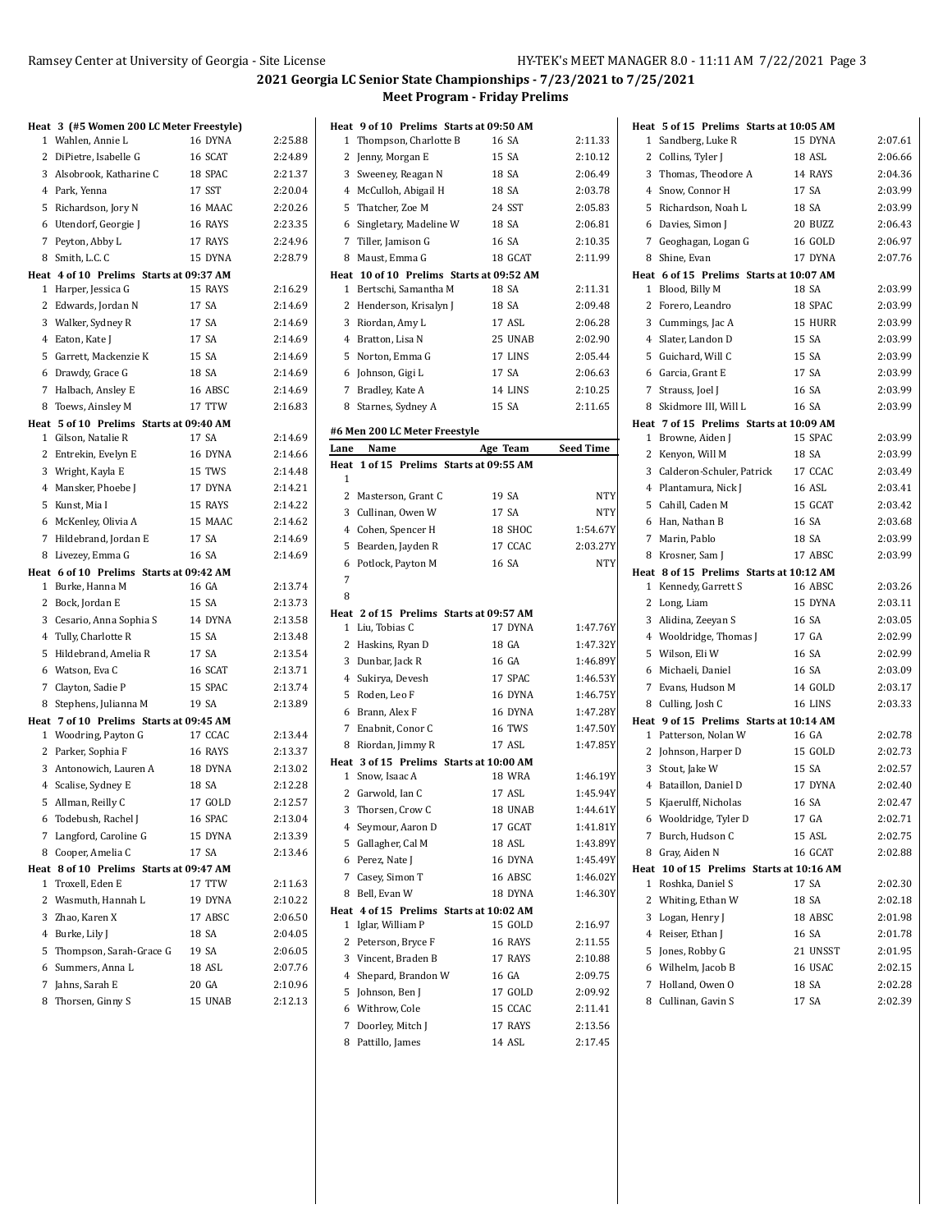|   | Heat 3 (#5 Women 200 LC Meter Freestyle)     |                  |                    |
|---|----------------------------------------------|------------------|--------------------|
|   | 1 Wahlen, Annie L                            | 16 DYNA          | 2:25.88            |
|   | 2 DiPietre, Isabelle G                       | 16 SCAT          | 2:24.89            |
|   | 3 Alsobrook, Katharine C                     | 18 SPAC          | 2:21.37            |
|   | 4 Park, Yenna                                | 17 SST           | 2:20.04            |
|   | 5 Richardson, Jory N                         | 16 MAAC          | 2:20.26            |
|   | 6 Utendorf, Georgie J                        | 16 RAYS          | 2:23.35            |
|   | 7 Peyton, Abby L                             | 17 RAYS          | 2:24.96            |
| 8 | Smith, L.C. C                                | 15 DYNA          | 2:28.79            |
|   | Heat 4 of 10 Prelims Starts at 09:37 AM      |                  |                    |
|   | 1 Harper, Jessica G                          | 15 RAYS          | 2:16.29            |
|   | 2 Edwards, Jordan N                          | 17 SA            | 2:14.69            |
|   | 3 Walker, Sydney R                           | 17 SA            | 2:14.69            |
|   | 4 Eaton, Kate J                              | 17 SA            | 2:14.69            |
|   | 5 Garrett, Mackenzie K                       | 15 SA            | 2:14.69            |
|   | 6 Drawdy, Grace G                            | 18 SA            | 2:14.69            |
|   | 7 Halbach, Ansley E                          | 16 ABSC          | 2:14.69            |
|   | 8 Toews, Ainsley M                           | 17 TTW           | 2:16.83            |
|   | Heat 5 of 10 Prelims Starts at 09:40 AM      | 17 SA            | 2:14.69            |
|   | 1 Gilson, Natalie R<br>2 Entrekin, Evelyn E  | 16 DYNA          | 2:14.66            |
|   | 3 Wright, Kayla E                            | 15 TWS           | 2:14.48            |
|   | 4 Mansker, Phoebe J                          | 17 DYNA          | 2:14.21            |
|   | 5 Kunst, Mia I                               | 15 RAYS          | 2:14.22            |
|   | 6 McKenley, Olivia A                         | 15 MAAC          | 2:14.62            |
|   | 7 Hildebrand, Jordan E                       | 17 SA            | 2:14.69            |
|   | 8 Livezey, Emma G                            | 16 SA            | 2:14.69            |
|   | Heat 6 of 10 Prelims Starts at 09:42 AM      |                  |                    |
|   | 1 Burke, Hanna M                             | 16 GA            | 2:13.74            |
|   | 2 Bock, Jordan E                             | 15 SA            | 2:13.73            |
|   | 3 Cesario, Anna Sophia S                     | 14 DYNA          | 2:13.58            |
|   | 4 Tully, Charlotte R                         | 15 SA            | 2:13.48            |
|   | 5 Hildebrand, Amelia R                       | 17 SA            | 2:13.54            |
|   | 6 Watson, Eva C                              | 16 SCAT          | 2:13.71            |
| 7 | Clayton, Sadie P                             | 15 SPAC          | 2:13.74            |
| 8 | Stephens, Julianna M                         | 19 SA            | 2:13.89            |
|   | Heat 7 of 10 Prelims Starts at 09:45 AM      |                  |                    |
|   | 1 Woodring, Payton G                         | 17 CCAC          | 2:13.44            |
|   | 2 Parker, Sophia F                           | 16 RAYS          | 2:13.37            |
|   | 3 Antonowich, Lauren A                       | 18 DYNA          | 2:13.02            |
|   | 4 Scalise, Sydney E                          | 18 SA            | 2:12.28            |
|   | 5 Allman, Reilly C                           | 17 GOLD          | 2:12.57            |
|   | 6 Todebush, Rachel J                         | 16 SPAC          | 2:13.04            |
| 7 | Langford, Caroline G                         | 15 DYNA          | 2:13.39            |
| 8 | Cooper, Amelia C                             | 17 SA            | 2:13.46            |
|   | Heat 8 of 10 Prelims Starts at 09:47 AM      |                  |                    |
| 1 | Troxell, Eden E                              | 17 TTW           | 2:11.63            |
| 2 | Wasmuth, Hannah L                            | 19 DYNA          | 2:10.22            |
|   | 3 Zhao, Karen X                              | 17 ABSC<br>18 SA | 2:06.50<br>2:04.05 |
|   | 4 Burke, Lily J<br>5 Thompson, Sarah-Grace G | 19 SA            | 2:06.05            |
|   | 6 Summers, Anna L                            | 18 ASL           | 2:07.76            |
| 7 | Jahns, Sarah E                               | 20 GA            | 2:10.96            |
| 8 | Thorsen, Ginny S                             | 15 UNAB          | 2:12.13            |
|   |                                              |                  |                    |

| Heat 9 of 10 Prelims Starts at 09:50 AM  |          |                  |
|------------------------------------------|----------|------------------|
| Thompson, Charlotte B<br>1               | 16 SA    | 2:11.33          |
| 2<br>Jenny, Morgan E                     | 15 SA    | 2:10.12          |
| 3<br>Sweeney, Reagan N                   | 18 SA    | 2:06.49          |
| 4<br>McCulloh, Abigail H                 | 18 SA    | 2:03.78          |
| 5<br>Thatcher, Zoe M                     | 24 SST   | 2:05.83          |
| 6 Singletary, Madeline W                 | 18 SA    | 2:06.81          |
| 7 Tiller, Jamison G                      | 16 SA    | 2:10.35          |
| 8 Maust, Emma G                          | 18 GCAT  | 2:11.99          |
| Heat 10 of 10 Prelims Starts at 09:52 AM |          |                  |
| Bertschi, Samantha M<br>1                | 18 SA    | 2:11.31          |
| 2<br>Henderson, Krisalyn J               | 18 SA    | 2:09.48          |
| 3<br>Riordan, Amy L                      | 17 ASL   | 2:06.28          |
| Bratton, Lisa N<br>4                     | 25 UNAB  | 2:02.90          |
| 5<br>Norton, Emma G                      | 17 LINS  | 2:05.44          |
| 6<br>Johnson, Gigi L                     | 17 SA    | 2:06.63          |
| 7<br>Bradley, Kate A                     | 14 LINS  | 2:10.25          |
| 8 Starnes, Sydney A                      | 15 SA    | 2:11.65          |
| #6 Men 200 LC Meter Freestyle            |          |                  |
| Lane<br>Name                             | Age Team | <b>Seed Time</b> |
| Heat 1 of 15 Prelims Starts at 09:55 AM  |          |                  |
| 1                                        |          |                  |
| 2 Masterson, Grant C                     | 19 SA    | NTY              |
| 3 Cullinan, Owen W                       | 17 SA    | NTY              |
| 4 Cohen, Spencer H                       | 18 SHOC  | 1:54.67Y         |
| 5<br>Bearden, Jayden R                   | 17 CCAC  | 2:03.27Y         |
| Potlock, Payton M<br>6                   | 16 SA    | NTY              |
| 7                                        |          |                  |
| 8                                        |          |                  |
| Heat 2 of 15 Prelims Starts at 09:57 AM  |          |                  |
| Liu, Tobias C<br>1                       | 17 DYNA  | 1:47.76Y         |
| 2<br>Haskins, Ryan D                     | 18 GA    | 1:47.32Y         |
| 3<br>Dunbar, Jack R                      | 16 GA    | 1:46.89Y         |
| Sukirya, Devesh<br>4                     | 17 SPAC  | 1:46.53Y         |
| Roden, Leo F<br>5                        | 16 DYNA  | 1:46.75Y         |
| Brann, Alex F<br>6                       | 16 DYNA  | 1:47.28Y         |
| 7<br>Enabnit, Conor C                    | 16 TWS   | 1:47.50Y         |
| 8 Riordan, Jimmy R                       | 17 ASL   | 1:47.85Y         |
| Heat 3 of 15 Prelims Starts at 10:00 AM  |          |                  |
| Snow, Isaac A<br>$\mathbf{1}$            | 18 WRA   | 1:46.19Y         |
| 2<br>Garwold, Ian C                      | 17 ASL   | 1:45.94Y         |
| 3<br>Thorsen, Crow C                     | 18 UNAB  | 1:44.61Y         |
| Seymour, Aaron D<br>4                    | 17 GCAT  | 1:41.81Y         |
| 5<br>Gallagher, Cal M                    | 18 ASL   | 1:43.89Y         |
| Perez, Nate J<br>6                       | 16 DYNA  | 1:45.49Y         |
| Casey, Simon T<br>7                      | 16 ABSC  | 1:46.02Y         |
| Bell, Evan W<br>8                        | 18 DYNA  | 1:46.30Y         |
| Heat 4 of 15 Prelims Starts at 10:02 AM  |          |                  |
| Iglar, William P<br>1                    | 15 GOLD  | 2:16.97          |
| 2<br>Peterson, Bryce F                   | 16 RAYS  | 2:11.55          |
| 3<br>Vincent, Braden B                   | 17 RAYS  | 2:10.88          |
| Shepard, Brandon W<br>4                  | 16 GA    | 2:09.75          |
| 5<br>Johnson, Ben J                      | 17 GOLD  | 2:09.92          |
| Withrow, Cole<br>6                       | 15 CCAC  | 2:11.41          |
| Doorley, Mitch J<br>7                    | 17 RAYS  | 2:13.56          |
| Pattillo, James<br>8                     | 14 ASL   | 2:17.45          |
|                                          |          |                  |

|        | Heat 5 of 15 Prelims Starts at 10:05 AM |                                                   |                    |
|--------|-----------------------------------------|---------------------------------------------------|--------------------|
| 1      | Sandberg, Luke R                        | 15 DYNA                                           | 2:07.61            |
|        | 2 Collins, Tyler J                      | 18 ASL                                            | 2:06.66            |
| 3      | Thomas, Theodore A                      | 14 RAYS                                           | 2:04.36            |
| 4      | Snow, Connor H                          | 17 SA                                             | 2:03.99            |
|        | 5 Richardson, Noah L                    | 18 SA                                             | 2:03.99            |
|        | 6 Davies, Simon J                       | 20 BUZZ                                           | 2:06.43            |
|        | 7 Geoghagan, Logan G                    | 16 GOLD                                           | 2:06.97            |
| 8      | Shine, Evan                             | 17 DYNA                                           | 2:07.76            |
|        | Heat 6 of 15 Prelims Starts at 10:07 AM |                                                   |                    |
| 1      | Blood, Billy M                          | 18 SA                                             | 2:03.99            |
|        | 2 Forero, Leandro                       | 18 SPAC                                           | 2:03.99            |
| 3      | Cummings, Jac A                         | 15 HURR                                           | 2:03.99            |
|        | 4 Slater, Landon D                      | 15 SA                                             | 2:03.99            |
|        | 5 Guichard, Will C                      | 15 SA                                             | 2:03.99            |
|        | 6 Garcia, Grant E                       | 17 SA                                             | 2:03.99            |
|        | 7 Strauss, Joel J                       | 16 SA                                             | 2:03.99            |
| 8      | Skidmore III, Will L                    | 16 SA                                             | 2:03.99            |
|        | Heat 7 of 15 Prelims Starts at 10:09 AM |                                                   |                    |
|        | 1 Browne, Aiden J                       | 15 SPAC                                           | 2:03.99            |
|        | 2 Kenyon, Will M                        | 18 SA                                             | 2:03.99            |
| 3      | Calderon-Schuler, Patrick               | 17 CCAC                                           | 2:03.49            |
|        | 4 Plantamura, Nick J                    | 16 ASL                                            | 2:03.41            |
|        | 5 Cahill, Caden M                       | 15 GCAT                                           | 2:03.42            |
|        | 6 Han, Nathan B                         | 16 SA                                             | 2:03.68            |
|        | 7 Marin, Pablo                          | 18 SA                                             | 2:03.99            |
| 8      | Krosner, Sam J                          | 17 ABSC                                           | 2:03.99            |
|        | Heat 8 of 15 Prelims Starts at 10:12 AM |                                                   |                    |
|        | 1 Kennedy, Garrett S                    | 16 ABSC                                           | 2:03.26            |
|        | 2 Long, Liam                            | 15 DYNA                                           | 2:03.11            |
|        | 3 Alidina, Zeeyan S                     | 16 SA                                             | 2:03.05            |
|        | 4 Wooldridge, Thomas J                  | 17 GA                                             | 2:02.99            |
|        | 5 Wilson, Eli W                         | 16 SA                                             | 2:02.99            |
|        | 6 Michaeli, Daniel                      | 16 SA                                             | 2:03.09            |
|        | 7 Evans, Hudson M                       | 14 GOLD                                           | 2:03.17            |
| 8      | Culling, Josh C                         | 16 LINS                                           | 2:03.33            |
|        | Heat 9 of 15 Prelims Starts at 10:14 AM |                                                   |                    |
|        | 1 Patterson, Nolan W                    | 16 GA                                             | 2:02.78            |
|        | 2 Johnson, Harper D                     | 15 GOLD                                           | 2:02.73            |
|        | 3 Stout, Jake W                         | 15 SA                                             | 2:02.57            |
|        | 4 Bataillon, Daniel D                   | 17 DYNA                                           | 2:02.40            |
|        | 5 Kjaerulff, Nicholas                   | 16 SA                                             | 2:02.47            |
|        | 6 Wooldridge, Tyler D                   | 17 GA                                             | 2:02.71            |
| 7      | Burch, Hudson C                         | 15 ASL                                            | 2:02.75            |
| 8      | Gray, Aiden N                           | 16 GCAT                                           | 2:02.88            |
| 1      |                                         | Heat 10 of 15 Prelims Starts at 10:16 AM<br>17 SA |                    |
|        | Roshka, Daniel S                        |                                                   | 2:02.30            |
| 2<br>3 | Whiting, Ethan W                        | 18 SA                                             | 2:02.18<br>2:01.98 |
|        | Logan, Henry J                          | 18 ABSC<br>16 SA                                  |                    |
|        | 4 Reiser, Ethan J                       | 21 UNSST                                          | 2:01.78            |
|        | 5 Jones, Robby G                        | 16 USAC                                           | 2:01.95            |
|        | 6 Wilhelm, Jacob B                      | 18 SA                                             | 2:02.15            |
| 7      | Holland, Owen O<br>8 Cullinan, Gavin S  |                                                   | 2:02.28<br>2:02.39 |
|        |                                         | 17 SA                                             |                    |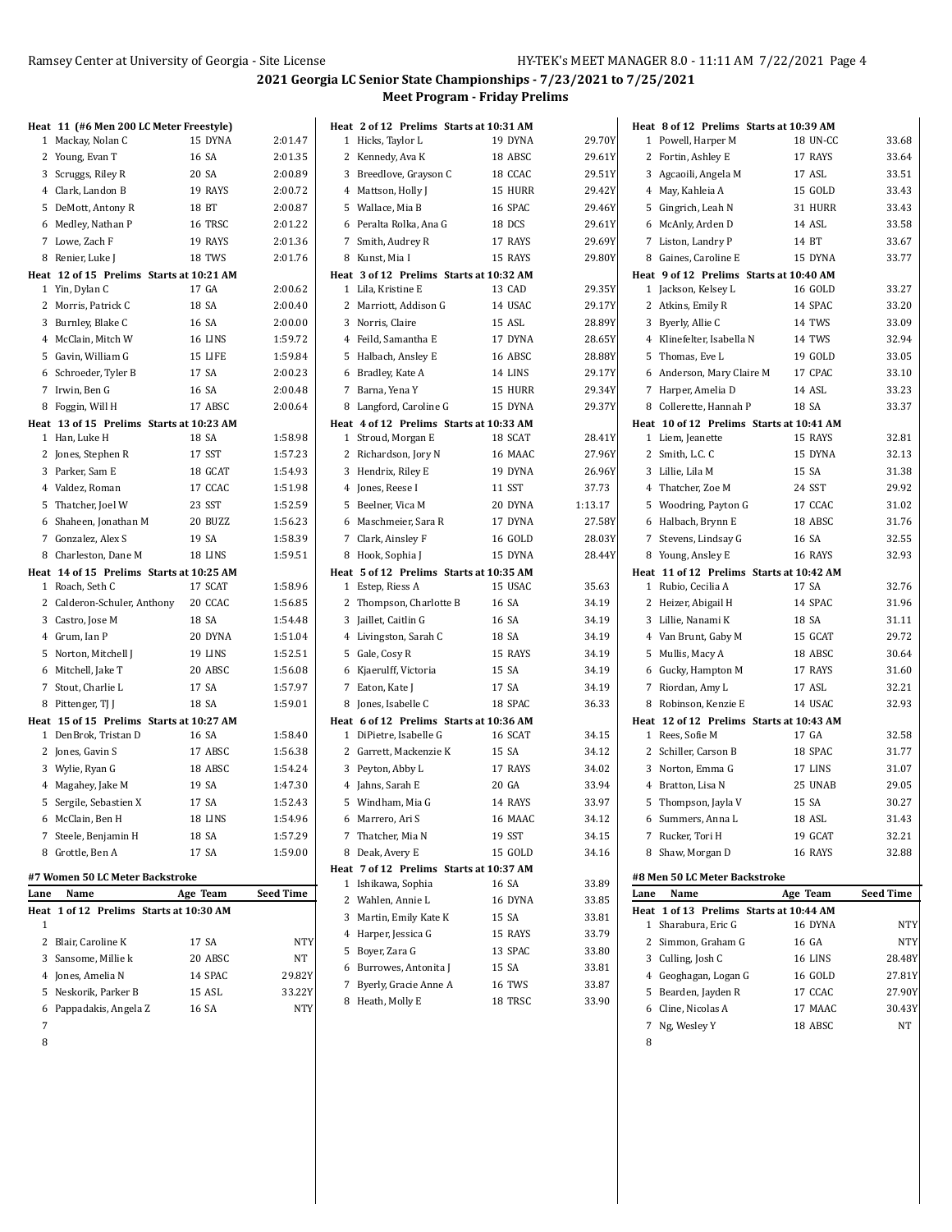|              | Heat 11 (#6 Men 200 LC Meter Freestyle)  |          |           |
|--------------|------------------------------------------|----------|-----------|
| 1            | Mackay, Nolan C                          | 15 DYNA  | 2:01.47   |
|              | 2 Young, Evan T                          | 16 SA    | 2:01.35   |
|              | 3 Scruggs, Riley R                       | 20 SA    | 2:00.89   |
|              | 4 Clark, Landon B                        | 19 RAYS  | 2:00.72   |
| 5            | DeMott, Antony R                         | 18 BT    | 2:00.87   |
|              | 6 Medley, Nathan P                       | 16 TRSC  | 2:01.22   |
|              | 7 Lowe, Zach F                           | 19 RAYS  | 2:01.36   |
|              | 8 Renier, Luke J                         | 18 TWS   | 2:01.76   |
|              | Heat 12 of 15 Prelims Starts at 10:21 AM |          |           |
|              | 1 Yin, Dylan C                           | 17 GA    | 2:00.62   |
| 2            | Morris, Patrick C                        | 18 SA    | 2:00.40   |
|              | 3 Burnley, Blake C                       | 16 SA    | 2:00.00   |
|              | 4 McClain, Mitch W                       | 16 LINS  | 1:59.72   |
| 5            | Gavin, William G                         | 15 LIFE  | 1:59.84   |
|              | 6 Schroeder, Tyler B                     | 17 SA    | 2:00.23   |
|              | 7 Irwin, Ben G                           | 16 SA    | 2:00.48   |
| 8            | Foggin, Will H                           | 17 ABSC  | 2:00.64   |
|              | Heat 13 of 15 Prelims Starts at 10:23 AM |          |           |
| $\mathbf{1}$ | Han, Luke H                              | 18 SA    | 1:58.98   |
|              | 2 Jones, Stephen R                       | 17 SST   | 1:57.23   |
|              | 3 Parker, Sam E                          | 18 GCAT  | 1:54.93   |
|              |                                          |          |           |
|              | 4 Valdez, Roman                          | 17 CCAC  | 1:51.98   |
| 5            | Thatcher, Joel W                         | 23 SST   | 1:52.59   |
|              | 6 Shaheen, Jonathan M                    | 20 BUZZ  | 1:56.23   |
|              | 7 Gonzalez, Alex S                       | 19 SA    | 1:58.39   |
|              | 8 Charleston, Dane M                     | 18 LINS  | 1:59.51   |
|              | Heat 14 of 15 Prelims Starts at 10:25 AM |          |           |
|              | 1 Roach, Seth C                          | 17 SCAT  | 1:58.96   |
|              | 2 Calderon-Schuler, Anthony 20 CCAC      |          | 1:56.85   |
|              | 3 Castro, Jose M                         | 18 SA    | 1:54.48   |
|              | 4 Grum, Ian P                            | 20 DYNA  | 1:51.04   |
| 5            | Norton, Mitchell J                       | 19 LINS  | 1:52.51   |
|              | 6 Mitchell, Jake T                       | 20 ABSC  | 1:56.08   |
|              | 7 Stout, Charlie L                       | 17 SA    | 1:57.97   |
|              | 8 Pittenger, TJ J                        | 18 SA    | 1:59.01   |
|              | Heat 15 of 15 Prelims Starts at 10:27 AM |          |           |
|              | 1 DenBrok, Tristan D                     | 16 SA    | 1:58.40   |
|              | 2 Jones, Gavin S                         | 17 ABSC  | 1:56.38   |
|              | 3 Wylie, Ryan G                          | 18 ABSC  | 1:54.24   |
|              | 4 Magahev, Jake M                        | 19 SA    | 1:47.30   |
| 5            | Sergile, Sebastien X                     | 17 SA    | 1:52.43   |
|              | 6 McClain, Ben H                         | 18 LINS  | 1:54.96   |
| 7            | Steele, Benjamin H                       | 18 SA    | 1:57.29   |
| 8            | Grottle, Ben A                           | 17 SA    | 1:59.00   |
|              | #7 Women 50 LC Meter Backstroke          |          |           |
| Lane         | Name                                     | Age Team | Seed Time |
| Heat         | 1 of 12 Prelims Starts at 10:30 AM       |          |           |
| 1            |                                          |          |           |
| 2            | Blair, Caroline K                        | 17 SA    | NTY       |
| 3            | Sansome, Millie k                        | 20 ABSC  | NΤ        |
|              | 4 Jones, Amelia N                        | 14 SPAC  | 29.82Y    |
| 5            | Neskorik, Parker B                       | 15 ASL   | 33.22Y    |
|              |                                          |          |           |

Pappadakis, Angela Z 16 SA NTY

| Heat 2 of 12 Prelims Starts at 10:31 AM                           |                   |         |
|-------------------------------------------------------------------|-------------------|---------|
| 1 Hicks, Taylor L                                                 | 19 DYNA           | 29.70Y  |
| 2 Kennedy, Ava K                                                  | 18 ABSC           | 29.61Y  |
| 3 Breedlove, Grayson C                                            | 18 CCAC           | 29.51Y  |
| 4 Mattson, Holly J                                                | 15 HURR           | 29.42Y  |
| 5 Wallace, Mia B                                                  | 16 SPAC           | 29.46Y  |
| 6 Peralta Rolka, Ana G                                            | 18 DCS            | 29.61Y  |
| 7 Smith, Audrey R                                                 | 17 RAYS           | 29.69Y  |
| 8 Kunst, Mia I                                                    | 15 RAYS           | 29.80Y  |
| Heat 3 of 12 Prelims Starts at 10:32 AM                           |                   |         |
| 1 Lila, Kristine E                                                | 13 CAD            | 29.35Y  |
| 2 Marriott, Addison G                                             | 14 USAC           | 29.17Y  |
| 3 Norris, Claire                                                  | 15 ASL            | 28.89Y  |
| 4 Feild, Samantha E                                               | 17 DYNA           | 28.65Y  |
| 5 Halbach, Ansley E                                               | 16 ABSC           | 28.88Y  |
| 6 Bradley, Kate A                                                 | 14 LINS           | 29.17Y  |
| 7 Barna, Yena Y                                                   | 15 HURR           | 29.34Y  |
| 8 Langford, Caroline G                                            | 15 DYNA           | 29.37Y  |
| Heat 4 of 12 Prelims Starts at 10:33 AM                           |                   |         |
| 1 Stroud, Morgan E                                                | 18 SCAT           | 28.41Y  |
| 2 Richardson, Jory N                                              | 16 MAAC           | 27.96Y  |
| 3 Hendrix, Riley E                                                | 19 DYNA           | 26.96Y  |
| 4 Jones, Reese I                                                  | 11 SST            | 37.73   |
| 5 Beelner, Vica M                                                 | 20 DYNA           | 1:13.17 |
| 6 Maschmeier, Sara R                                              | 17 DYNA           | 27.58Y  |
| 7 Clark, Ainsley F                                                | 16 GOLD           | 28.03Y  |
| 8 Hook, Sophia J                                                  | 15 DYNA           | 28.44Y  |
| Heat 5 of 12 Prelims Starts at 10:35 AM                           |                   |         |
| 1 Estep, Riess A                                                  | 15 USAC           | 35.63   |
| 2 Thompson, Charlotte B                                           | 16 SA             | 34.19   |
| 3 Jaillet, Caitlin G                                              | 16 SA             | 34.19   |
| 4 Livingston, Sarah C                                             | 18 SA             | 34.19   |
| 5 Gale, Cosy R                                                    | 15 RAYS           | 34.19   |
| 6 Kjaerulff, Victoria                                             | 15 SA             | 34.19   |
| 7 Eaton, Kate J                                                   | 17 SA             | 34.19   |
| 8 Jones, Isabelle C                                               |                   |         |
|                                                                   |                   |         |
|                                                                   | 18 SPAC           | 36.33   |
| Heat 6 of 12 Prelims Starts at 10:36 AM<br>1 DiPietre, Isabelle G | 16 SCAT           | 34.15   |
| 2 Garrett, Mackenzie K                                            | 15 SA             | 34.12   |
| 3 Peyton, Abby L                                                  | 17 RAYS           | 34.02   |
| 4 Jahns, Sarah E                                                  | 20 GA             | 33.94   |
| 5 Windham, Mia G                                                  | 14 RAYS           | 33.97   |
|                                                                   |                   |         |
| 6 Marrero, Ari S                                                  | 16 MAAC<br>19 SST | 34.12   |
| 7 Thatcher, Mia N                                                 |                   | 34.15   |
| Deak, Avery E<br>8                                                | 15 GOLD           | 34.16   |
| Heat 7 of 12 Prelims Starts at 10:37 AM<br>Ishikawa, Sophia<br>1  | 16 SA             | 33.89   |
| 2 Wahlen, Annie L                                                 | 16 DYNA           | 33.85   |
| 3 Martin, Emily Kate K                                            | 15 SA             | 33.81   |
| 4 Harper, Jessica G                                               | 15 RAYS           | 33.79   |
| 5 Boyer, Zara G                                                   | 13 SPAC           | 33.80   |
| 6 Burrowes, Antonita J                                            | 15 SA             | 33.81   |
|                                                                   | 16 TWS            | 33.87   |
| 7 Byerly, Gracie Anne A<br>Heath, Molly E<br>8                    | 18 TRSC           | 33.90   |

|                | Heat 8 of 12 Prelims Starts at 10:39 AM  |                |                  |
|----------------|------------------------------------------|----------------|------------------|
| $\mathbf{1}$   | Powell, Harper M                         | 18 UN-CC       | 33.68            |
|                | 2 Fortin, Ashley E                       | 17 RAYS        | 33.64            |
|                | 3 Agcaoili, Angela M                     | 17 ASL         | 33.51            |
|                | 4 May, Kahleia A                         | 15 GOLD        | 33.43            |
|                | 5 Gingrich, Leah N                       | 31 HURR        | 33.43            |
|                | 6 McAnly, Arden D                        | 14 ASL         | 33.58            |
|                | 7 Liston, Landry P                       | 14 BT          | 33.67            |
|                | 8 Gaines, Caroline E                     | 15 DYNA        | 33.77            |
|                | Heat 9 of 12 Prelims Starts at 10:40 AM  |                |                  |
|                | 1 Jackson, Kelsey L                      | <b>16 GOLD</b> | 33.27            |
|                | 2 Atkins, Emily R                        | 14 SPAC        | 33.20            |
|                | 3 Byerly, Allie C                        | 14 TWS         | 33.09            |
|                | 4 Klinefelter, Isabella N                | 14 TWS         | 32.94            |
|                | 5 Thomas, Eve L                          | 19 GOLD        | 33.05            |
|                | 6 Anderson, Mary Claire M                | 17 CPAC        | 33.10            |
|                | 7 Harper, Amelia D                       | 14 ASL         | 33.23            |
|                | 8 Collerette, Hannah P                   | 18 SA          | 33.37            |
|                | Heat 10 of 12 Prelims Starts at 10:41 AM |                |                  |
|                | 1 Liem, Jeanette                         | 15 RAYS        | 32.81            |
|                | 2 Smith, L.C. C                          | 15 DYNA        | 32.13            |
|                | 3 Lillie, Lila M                         | 15 SA          | 31.38            |
|                | 4 Thatcher, Zoe M                        | 24 SST         | 29.92            |
|                | 5 Woodring, Payton G                     | 17 CCAC        | 31.02            |
|                | 6 Halbach, Brynn E                       | 18 ABSC        | 31.76            |
|                | 7 Stevens, Lindsay G                     | 16 SA          | 32.55            |
|                | 8 Young, Ansley E                        | 16 RAYS        | 32.93            |
|                | Heat 11 of 12 Prelims Starts at 10:42 AM |                |                  |
|                | 1 Rubio, Cecilia A                       | 17 SA          | 32.76            |
|                | 2 Heizer, Abigail H                      | 14 SPAC        | 31.96            |
|                | 3 Lillie, Nanami K                       | 18 SA          | 31.11            |
|                | 4 Van Brunt, Gaby M                      | 15 GCAT        | 29.72            |
| 5              | Mullis, Macy A                           | 18 ABSC        | 30.64            |
|                | 6 Gucky, Hampton M                       | 17 RAYS        | 31.60            |
|                | 7 Riordan, Amy L                         | 17 ASL         | 32.21            |
|                | 8 Robinson, Kenzie E                     | 14 USAC        | 32.93            |
|                | Heat 12 of 12 Prelims Starts at 10:43 AM |                |                  |
|                | 1 Rees, Sofie M                          | 17 GA          | 32.58            |
|                | 2 Schiller, Carson B                     | 18 SPAC        | 31.77            |
| 3              | Norton, Emma G                           | 17 LINS        | 31.07            |
| $\overline{4}$ | Bratton, Lisa N                          | 25 UNAB        | 29.05            |
|                | 5 Thompson, Jayla V                      | 15 SA          | 30.27            |
|                | 6 Summers, Anna L                        | 18 ASL         | 31.43            |
|                | 7 Rucker, Tori H                         | 19 GCAT        | 32.21            |
| 8              | Shaw, Morgan D                           | 16 RAYS        | 32.88            |
|                | #8 Men 50 LC Meter Backstroke            |                |                  |
| Lane           | Name                                     | Age Team       | <b>Seed Time</b> |
|                | Heat 1 of 13 Prelims Starts at 10:44 AM  |                |                  |
| $\mathbf{1}$   | Sharabura, Eric G                        | 16 DYNA        | NTY              |
| $\overline{2}$ | Simmon, Graham G                         | 16 GA          | NTY              |
|                | 3 Culling, Josh C                        | 16 LINS        | 28.48Y           |
|                | 4 Geoghagan, Logan G                     | 16 GOLD        | 27.81Y           |
|                | 5 Bearden, Jayden R                      | 17 CCAC        | 27.90Y           |
|                | 6 Cline, Nicolas A                       | 17 MAAC        | 30.43Y           |
|                | 7 Ng, Wesley Y                           | 18 ABSC        | NT               |
| 8              |                                          |                |                  |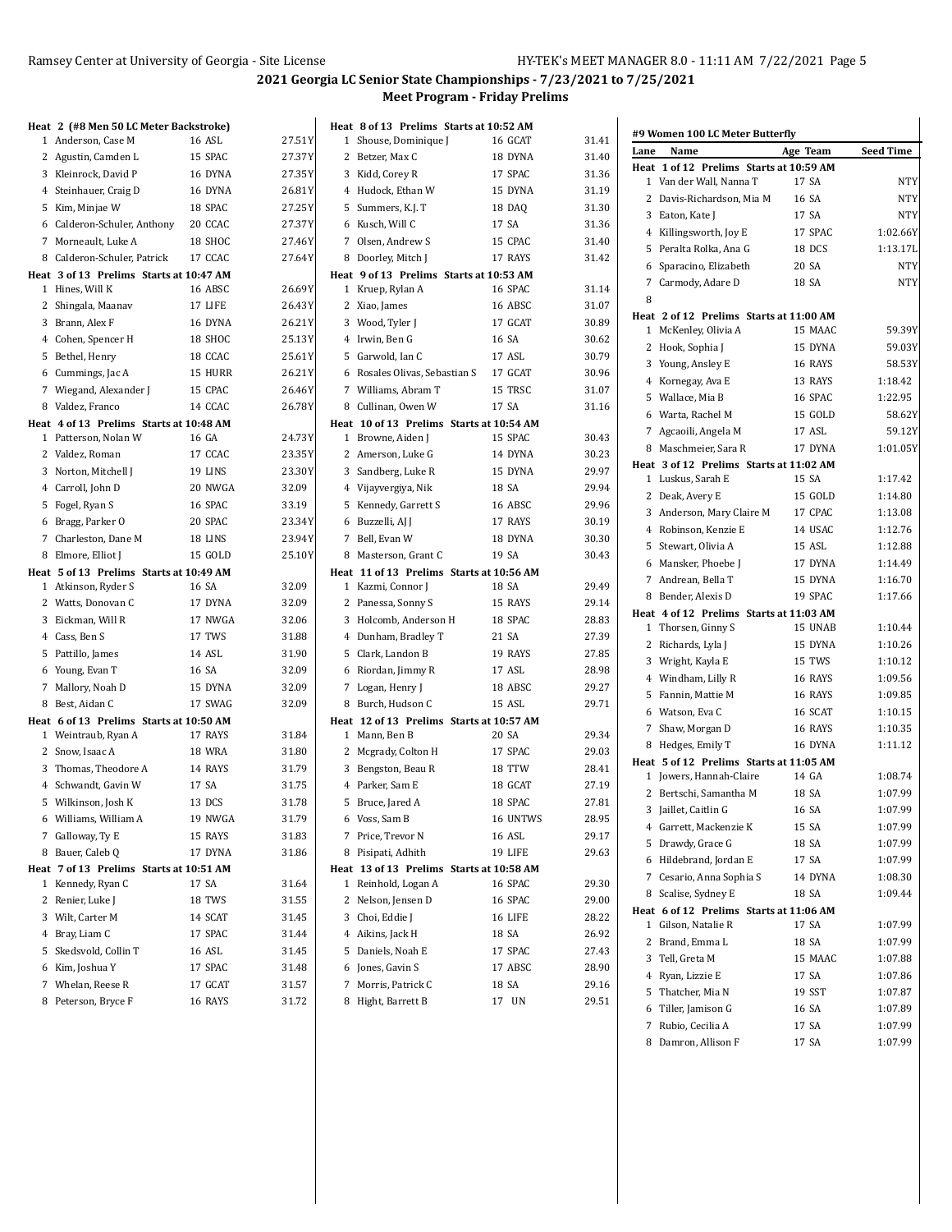$27.51$ 27.37Y 27.35Y 26.81Y 27.25Y 27.37Y 27.46Y 27.64Y

26.69Y 26.43Y 26.21Y 25.13Y 25.61Y 26.21Y 26.46Y 26.78Y

24.73Y 23.35Y 23.30Y 32.09 33.19 23.34Y 23.94Y 25.10Y

32.09 32.09 32.06

 $31.45$ 31.44 31.45  $31.48$ 31.57 31.72  $\mathbf{I}$ 

| Heat 2 (#8 Men 50 LC Meter Backstroke)  |                           |                |
|-----------------------------------------|---------------------------|----------------|
| 1 Anderson, Case M                      | 16 ASL                    | 27.51          |
| 2 Agustin, Camden L                     | 15 SPAC                   | 27.37          |
| 3 Kleinrock, David P                    | 16 DYNA                   | 27.35          |
| 4 Steinhauer, Craig D                   | 16 DYNA                   | 26.81          |
| 5 Kim, Minjae W                         | 18 SPAC                   | 27.25          |
| 6 Calderon-Schuler, Anthony 20 CCAC     |                           | 27.37          |
| 7 Morneault, Luke A                     | 18 SHOC                   | 27.46          |
| 8 Calderon-Schuler, Patrick             | 17 CCAC                   | 27.64          |
| Heat 3 of 13 Prelims Starts at 10:47 AM |                           |                |
| 1 Hines, Will K                         | 16 ABSC                   | 26.69          |
| 2 Shingala, Maanav                      | 17 LIFE                   | 26.43          |
| 3 Brann, Alex F                         | 16 DYNA                   | 26.21          |
| 4 Cohen, Spencer H                      | 18 SHOC                   | 25.13          |
| 5 Bethel, Henry                         | 18 CCAC                   | 25.61          |
| 6 Cummings, Jac A                       | 15 HURR                   | 26.21          |
| 7 Wiegand, Alexander J                  | 15 CPAC                   | 26.46          |
| 8 Valdez, Franco                        | 14 CCAC                   | 26.78          |
| Heat 4 of 13 Prelims Starts at 10:48 AM |                           |                |
| 1 Patterson, Nolan W<br>2 Valdez, Roman | 16 GA<br>17 CCAC          | 24.73<br>23.35 |
| 3 Norton, Mitchell J                    | 19 LINS                   | 23.30          |
| 4 Carroll, John D                       | 20 NWGA                   | 32.09          |
| 5 Fogel, Ryan S                         | 16 SPAC                   | 33.19          |
| 6 Bragg, Parker O                       | 20 SPAC                   | 23.34          |
| 7 Charleston, Dane M                    | 18 LINS                   | 23.94          |
| 8 Elmore, Elliot J                      | 15 GOLD                   | 25.10          |
| Heat 5 of 13 Prelims Starts at 10:49 AM |                           |                |
| 1 Atkinson, Ryder S                     | 16 SA                     | 32.09          |
| 2 Watts, Donovan C                      | 17 DYNA                   | 32.09          |
| 3 Eickman, Will R                       | 17 NWGA                   | 32.06          |
| 4 Cass, Ben S                           | 17 TWS                    | 31.88          |
| 5 Pattillo, James                       | 14 ASL                    | 31.90          |
| 6 Young, Evan T                         | 16 SA                     | 32.09          |
| 7 Mallory, Noah D                       | 15 DYNA                   | 32.09          |
| 8 Best, Aidan C                         | 17 SWAG                   | 32.09          |
| Heat 6 of 13 Prelims Starts at 10:50 AM |                           |                |
| 1 Weintraub, Ryan A                     | 17 RAYS                   | 31.84          |
| 2 Snow, Isaac A                         | <b>18 WRA</b>             | 31.80          |
| 3 Thomas, Theodore A                    | 14 RAYS                   | 31.79          |
| 4 Schwandt, Gavin W                     | 17 SA                     | 31.75          |
| 5 Wilkinson, Josh K                     | 13 DCS                    | 31.78          |
| 6 Williams, William A                   | 19 NWGA                   | 31.79          |
| 7 Galloway, Ty E                        | 15 RAYS                   | 31.83          |
| 8 Bauer, Caleb Q                        | 17 DYNA                   | 31.86          |
| Heat 7 of 13 Prelims Starts at 10:51 AM |                           |                |
| 1 Kennedy, Ryan C                       | 17 SA                     | 31.64          |
| 2 Renier, Luke J                        | 18 TWS                    | 31.55          |
| 3 Wilt, Carter M                        | 14 SCAT                   | 31.45          |
| 4 Bray, Liam C                          | 17 SPAC                   | 31.44          |
| 5 Skedsvold, Collin T                   | 16 ASL                    | 31.45<br>31.48 |
| 6 Kim, Joshua Y                         | 17 SPAC                   |                |
| 7 Whelan, Reese R<br>8 Peterson Bryce F | 17 GCAT<br><b>16 RAYS</b> | 31.57<br>3172  |
|                                         |                           |                |

|              | Heat 8 of 13 Prelims Starts at 10:52 AM  |          |       |
|--------------|------------------------------------------|----------|-------|
| $\mathbf{1}$ | Shouse, Dominique J                      | 16 GCAT  | 31.41 |
|              | 2 Betzer, Max C                          | 18 DYNA  | 31.40 |
|              | 3 Kidd, Corey R                          | 17 SPAC  | 31.36 |
|              | 4 Hudock, Ethan W                        | 15 DYNA  | 31.19 |
|              | 5 Summers, K.J. T                        | 18 DAQ   | 31.30 |
|              | 6 Kusch, Will C                          | 17 SA    | 31.36 |
|              | 7 Olsen, Andrew S                        | 15 CPAC  | 31.40 |
|              | 8 Doorley, Mitch J                       | 17 RAYS  | 31.42 |
|              | Heat 9 of 13 Prelims Starts at 10:53 AM  |          |       |
|              | 1 Kruep, Rylan A                         | 16 SPAC  | 31.14 |
|              | 2 Xiao, James                            | 16 ABSC  | 31.07 |
|              | 3 Wood, Tyler J                          | 17 GCAT  | 30.89 |
|              | 4 Irwin, Ben G                           | 16 SA    | 30.62 |
|              | 5 Garwold, Ian C                         | 17 ASL   | 30.79 |
|              | 6 Rosales Olivas, Sebastian S            | 17 GCAT  | 30.96 |
|              | 7 Williams, Abram T                      | 15 TRSC  | 31.07 |
|              | 8 Cullinan, Owen W                       | 17 SA    | 31.16 |
|              | Heat 10 of 13 Prelims Starts at 10:54 AM |          |       |
|              | 1 Browne, Aiden J                        | 15 SPAC  | 30.43 |
|              | 2 Amerson, Luke G                        | 14 DYNA  | 30.23 |
|              | 3 Sandberg, Luke R                       | 15 DYNA  | 29.97 |
|              | 4 Vijayvergiya, Nik                      | 18 SA    | 29.94 |
|              | 5 Kennedy, Garrett S                     | 16 ABSC  | 29.96 |
|              | 6 Buzzelli, AJ J                         | 17 RAYS  | 30.19 |
|              | 7 Bell, Evan W                           | 18 DYNA  | 30.30 |
| 8            | Masterson, Grant C                       | 19 SA    | 30.43 |
|              | Heat 11 of 13 Prelims Starts at 10:56 AM |          |       |
|              |                                          |          |       |
|              | 1 Kazmi, Connor J                        | 18 SA    | 29.49 |
|              | 2 Panessa, Sonny S                       | 15 RAYS  | 29.14 |
| 3            | Holcomb, Anderson H                      | 18 SPAC  | 28.83 |
|              | 4 Dunham, Bradley T                      | 21 SA    | 27.39 |
|              | 5 Clark, Landon B                        | 19 RAYS  | 27.85 |
|              | 6 Riordan, Jimmy R                       | 17 ASL   | 28.98 |
|              | 7 Logan, Henry J                         | 18 ABSC  | 29.27 |
| 8            | Burch, Hudson C                          | 15 ASL   | 29.71 |
|              | Heat 12 of 13 Prelims Starts at 10:57 AM |          |       |
|              | 1 Mann, Ben B                            | 20 SA    | 29.34 |
|              | 2 Mcgrady, Colton H                      | 17 SPAC  | 29.03 |
| 3            | Bengston, Beau R                         | 18 TTW   | 28.41 |
|              | 4 Parker, Sam E                          | 18 GCAT  | 27.19 |
|              | 5 Bruce, Jared A                         | 18 SPAC  | 27.81 |
|              | 6 Voss, Sam B                            | 16 UNTWS | 28.95 |
| 7            | Price, Trevor N                          | 16 ASL   | 29.17 |
| 8            | Pisipati, Adhith                         | 19 LIFE  | 29.63 |
|              | Heat 13 of 13 Prelims Starts at 10:58 AM |          |       |
| 1            | Reinhold, Logan A                        | 16 SPAC  | 29.30 |
| 2            | Nelson, Jensen D                         | 16 SPAC  | 29.00 |
| 3            | Choi, Eddie J                            | 16 LIFE  | 28.22 |
|              | 4 Aikins, Jack H                         | 18 SA    | 26.92 |
|              | 5 Daniels, Noah E                        | 17 SPAC  | 27.43 |
|              | 6 Jones, Gavin S                         | 17 ABSC  | 28.90 |
| 7            | Morris, Patrick C                        | 18 SA    | 29.16 |

| #9 Women 100 LC Meter Butterfly |                                         |          |                  |
|---------------------------------|-----------------------------------------|----------|------------------|
| Lane                            | Name                                    | Age Team | <b>Seed Time</b> |
|                                 | Heat 1 of 12 Prelims Starts at 10:59 AM |          |                  |
| 1                               | Van der Wall, Nanna T                   | 17 SA    | <b>NTY</b>       |
| 2                               | Davis-Richardson, Mia M                 | 16 SA    | <b>NTY</b>       |
| 3                               | Eaton, Kate J                           | 17 SA    | NTY              |
|                                 | 4 Killingsworth, Joy E                  | 17 SPAC  | 1:02.66Y         |
| 5                               | Peralta Rolka, Ana G                    | 18 DCS   | 1:13.17L         |
| 6                               | Sparacino, Elizabeth                    | 20 SA    | <b>NTY</b>       |
| $7^{\circ}$                     | Carmody, Adare D                        | 18 SA    | <b>NTY</b>       |
| 8                               |                                         |          |                  |
|                                 | Heat 2 of 12 Prelims Starts at 11:00 AM |          |                  |
| 1                               | McKenley, Olivia A                      | 15 MAAC  | 59.39Y           |
|                                 | 2 Hook, Sophia J                        | 15 DYNA  | 59.03Y           |
| 3                               | Young, Ansley E                         | 16 RAYS  | 58.53Y           |
|                                 | 4 Kornegay, Ava E                       | 13 RAYS  | 1:18.42          |
|                                 | 5 Wallace, Mia B                        | 16 SPAC  | 1:22.95          |
|                                 | 6 Warta, Rachel M                       | 15 GOLD  | 58.62Y           |
|                                 | 7 Agcaoili, Angela M                    | 17 ASL   | 59.12Y           |
| 8                               | Maschmeier, Sara R                      | 17 DYNA  | 1:01.05Y         |
|                                 | Heat 3 of 12 Prelims Starts at 11:02 AM |          |                  |
| 1                               | Luskus, Sarah E                         | 15 SA    | 1:17.42          |
| 2                               | Deak, Avery E                           | 15 GOLD  | 1:14.80          |
| 3                               | Anderson, Mary Claire M                 | 17 CPAC  | 1:13.08          |
|                                 | 4 Robinson, Kenzie E                    | 14 USAC  | 1:12.76          |
| 5                               | Stewart, Olivia A                       | 15 ASL   | 1:12.88          |
|                                 | 6 Mansker, Phoebe J                     | 17 DYNA  | 1:14.49          |
|                                 | 7 Andrean, Bella T                      | 15 DYNA  | 1:16.70          |
| 8                               | Bender, Alexis D                        | 19 SPAC  | 1:17.66          |
|                                 | Heat 4 of 12 Prelims Starts at 11:03 AM |          |                  |
|                                 | 1 Thorsen, Ginny S                      | 15 UNAB  | 1:10.44          |
| 2                               | Richards, Lyla J                        | 15 DYNA  | 1:10.26          |
|                                 | 3 Wright, Kayla E                       | 15 TWS   | 1:10.12          |
|                                 | 4 Windham, Lilly R                      | 16 RAYS  | 1:09.56          |
| 5                               | Fannin, Mattie M                        | 16 RAYS  | 1:09.85          |
|                                 | 6 Watson, Eva C                         | 16 SCAT  | 1:10.15          |
| 7                               | Shaw, Morgan D                          | 16 RAYS  | 1:10.35          |
|                                 | 8 Hedges, Emily T                       | 16 DYNA  | 1:11.12          |
|                                 | Heat 5 of 12 Prelims Starts at 11:05 AM |          |                  |
|                                 | 1 Jowers, Hannah-Claire                 | 14 GA    | 1:08.74          |
| $\mathbf{2}$                    | Bertschi, Samantha M                    | 18 SA    | 1:07.99          |
|                                 | 3 Jaillet, Caitlin G                    | 16 SA    | 1:07.99          |
| 4                               | Garrett, Mackenzie K                    | 15 SA    | 1:07.99          |
| 5                               | Drawdy, Grace G                         | 18 SA    | 1:07.99          |
| 6                               | Hildebrand, Jordan E                    | 17 SA    | 1:07.99          |
| 7                               | Cesario, Anna Sophia S                  | 14 DYNA  | 1:08.30          |
| 8                               | Scalise, Sydney E                       | 18 SA    | 1:09.44          |
|                                 | Heat 6 of 12 Prelims Starts at 11:06 AM |          |                  |
| 1                               | Gilson, Natalie R                       | 17 SA    | 1:07.99          |
| 2                               | Brand, Emma L                           | 18 SA    | 1:07.99          |
| 3                               | Tell, Greta M                           | 15 MAAC  | 1:07.88          |
| 4                               | Ryan, Lizzie E                          | 17 SA    | 1:07.86          |
| 5                               | Thatcher, Mia N                         | 19 SST   | 1:07.87          |
| 6                               | Tiller, Jamison G                       | 16 SA    | 1:07.89          |
| 7                               | Rubio, Cecilia A                        | 17 SA    | 1:07.99          |
| 8                               | Damron, Allison F                       | 17 SA    | 1:07.99          |
|                                 |                                         |          |                  |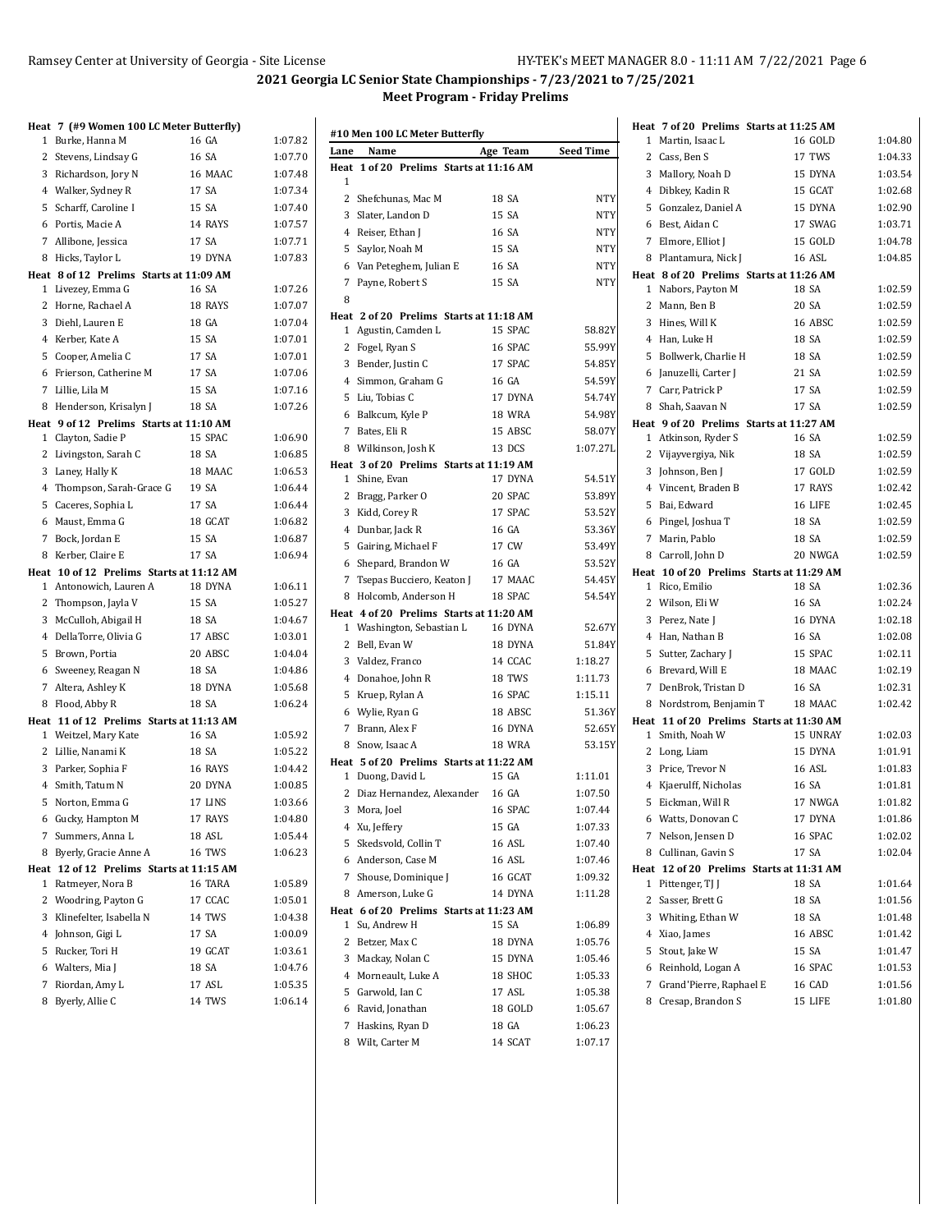|   | Heat 7 (#9 Women 100 LC Meter Butterfly)                      |         |         |
|---|---------------------------------------------------------------|---------|---------|
|   | 1 Burke, Hanna M                                              | 16 GA   | 1:07.82 |
|   | 2 Stevens, Lindsay G                                          | 16 SA   | 1:07.70 |
|   | 3 Richardson, Jory N                                          | 16 MAAC | 1:07.48 |
|   | 4 Walker, Sydney R                                            | 17 SA   | 1:07.34 |
|   | 5 Scharff, Caroline I                                         | 15 SA   | 1:07.40 |
|   | 6 Portis, Macie A                                             | 14 RAYS | 1:07.57 |
|   | 7 Allibone, Jessica                                           | 17 SA   | 1:07.71 |
| 8 | Hicks, Taylor L                                               | 19 DYNA | 1:07.83 |
|   | Heat 8 of 12 Prelims Starts at 11:09 AM                       |         |         |
|   | 1 Livezey, Emma G                                             | 16 SA   | 1:07.26 |
|   | 2 Horne, Rachael A                                            | 18 RAYS | 1:07.07 |
|   | 3 Diehl, Lauren E                                             | 18 GA   | 1:07.04 |
|   | 4 Kerber, Kate A                                              | 15 SA   | 1:07.01 |
|   | 5 Cooper, Amelia C                                            | 17 SA   | 1:07.01 |
|   | 6 Frierson, Catherine M                                       | 17 SA   | 1:07.06 |
|   | 7 Lillie, Lila M                                              | 15 SA   | 1:07.16 |
|   | 8 Henderson, Krisalyn J                                       | 18 SA   | 1:07.26 |
|   | Heat 9 of 12 Prelims Starts at 11:10 AM<br>1 Clayton, Sadie P | 15 SPAC | 1:06.90 |
|   | 2 Livingston, Sarah C                                         | 18 SA   | 1:06.85 |
|   | 3 Laney, Hally K                                              | 18 MAAC | 1:06.53 |
|   | 4 Thompson, Sarah-Grace G                                     | 19 SA   | 1:06.44 |
|   | 5 Caceres, Sophia L                                           | 17 SA   | 1:06.44 |
|   | 6 Maust, Emma G                                               | 18 GCAT | 1:06.82 |
|   | 7 Bock, Jordan E                                              | 15 SA   | 1:06.87 |
|   | 8 Kerber, Claire E                                            | 17 SA   | 1:06.94 |
|   | Heat 10 of 12 Prelims Starts at 11:12 AM                      |         |         |
|   | 1 Antonowich, Lauren A                                        | 18 DYNA | 1:06.11 |
|   | 2 Thompson, Jayla V                                           | 15 SA   | 1:05.27 |
|   | 3 McCulloh, Abigail H                                         | 18 SA   | 1:04.67 |
|   | 4 DellaTorre, Olivia G                                        | 17 ABSC | 1:03.01 |
|   | 5 Brown, Portia                                               | 20 ABSC | 1:04.04 |
|   | 6 Sweeney, Reagan N                                           | 18 SA   | 1:04.86 |
|   | 7 Altera, Ashley K                                            | 18 DYNA | 1:05.68 |
|   | 8 Flood, Abby R                                               | 18 SA   | 1:06.24 |
|   | Heat 11 of 12 Prelims Starts at 11:13 AM                      |         |         |
|   | 1 Weitzel, Mary Kate                                          | 16 SA   | 1:05.92 |
|   | 2 Lillie, Nanami K                                            | 18 SA   | 1:05.22 |
|   | 3 Parker, Sophia F                                            | 16 RAYS | 1:04.42 |
|   | 4 Smith, Tatum N                                              | 20 DYNA | 1:00.85 |
|   | 5 Norton, Emma G                                              | 17 LINS | 1:03.66 |
|   | 6 Gucky, Hampton M                                            | 17 RAYS | 1:04.80 |
| 7 | Summers, Anna L                                               | 18 ASL  | 1:05.44 |
| 8 | Byerly, Gracie Anne A                                         | 16 TWS  | 1:06.23 |
| 1 | Heat 12 of 12 Prelims Starts at 11:15 AM<br>Ratmeyer, Nora B  | 16 TARA | 1:05.89 |
| 2 | Woodring, Payton G                                            | 17 CCAC | 1:05.01 |
|   | 3 Klinefelter, Isabella N                                     | 14 TWS  | 1:04.38 |
|   | 4 Johnson, Gigi L                                             | 17 SA   | 1:00.09 |
|   | 5 Rucker, Tori H                                              | 19 GCAT | 1:03.61 |
|   |                                                               |         |         |
|   |                                                               | 18 SA   | 1:04.76 |
|   | 6 Walters, Mia J<br>7 Riordan, Amy L                          | 17 ASL  | 1:05.35 |

| #10 Men 100 LC Meter Butterfly |                                         |               |                  |  |
|--------------------------------|-----------------------------------------|---------------|------------------|--|
| Lane                           | Name                                    | Age Team      | <b>Seed Time</b> |  |
|                                | Heat 1 of 20 Prelims Starts at 11:16 AM |               |                  |  |
| 1                              |                                         |               |                  |  |
| $\overline{2}$                 | Shefchunas, Mac M                       | 18 SA         | <b>NTY</b>       |  |
| 3                              | Slater, Landon D                        | 15 SA         | <b>NTY</b>       |  |
|                                | 4 Reiser, Ethan J                       | 16 SA         | <b>NTY</b>       |  |
| 5                              | Saylor, Noah M                          | 15 SA         | <b>NTY</b>       |  |
| 6                              | Van Peteghem, Julian E                  | 16 SA         | NTY              |  |
| 7                              | Payne, Robert S                         | 15 SA         | <b>NTY</b>       |  |
| 8                              |                                         |               |                  |  |
|                                | Heat 2 of 20 Prelims Starts at 11:18 AM |               |                  |  |
| 1                              | Agustin, Camden L                       | 15 SPAC       | 58.82Y           |  |
| 2                              | Fogel, Ryan S                           | 16 SPAC       | 55.99Y           |  |
| 3                              | Bender, Justin C                        | 17 SPAC       | 54.85Y           |  |
| 4                              | Simmon, Graham G                        | 16 GA         | 54.59Y           |  |
| 5                              | Liu, Tobias C                           | 17 DYNA       | 54.74Y           |  |
| 6                              | Balkcum, Kyle P                         | <b>18 WRA</b> | 54.98Y           |  |
| 7                              | Bates, Eli R                            | 15 ABSC       | 58.07Y           |  |
|                                | 8 Wilkinson, Josh K                     | 13 DCS        | 1:07.27L         |  |
|                                | Heat 3 of 20 Prelims Starts at 11:19 AM |               |                  |  |
| 1                              | Shine, Evan                             | 17 DYNA       | 54.51Y           |  |
| $\mathbf{2}$                   | Bragg, Parker O                         | 20 SPAC       | 53.89Y           |  |
| 3                              | Kidd, Corey R                           | 17 SPAC       | 53.52Y           |  |
|                                | 4 Dunbar, Jack R                        | 16 GA         | 53.36Y           |  |
| 5                              | Gairing, Michael F                      | 17 CW         | 53.49Y           |  |
| 6                              | Shepard, Brandon W                      | 16 GA         | 53.52Y           |  |
|                                | 7 Tsepas Bucciero, Keaton J             | 17 MAAC       | 54.45Y           |  |
| 8                              | Holcomb, Anderson H                     | 18 SPAC       | 54.54Y           |  |
|                                | Heat 4 of 20 Prelims Starts at 11:20 AM |               |                  |  |
|                                | 1 Washington, Sebastian L               | 16 DYNA       | 52.67Y           |  |
| 2                              | Bell, Evan W                            | 18 DYNA       | 51.84Y           |  |
|                                | 3 Valdez, Franco                        | 14 CCAC       | 1:18.27          |  |
| 4                              | Donahoe, John R                         | 18 TWS        | 1:11.73          |  |
| 5                              | Kruep, Rylan A                          | 16 SPAC       | 1:15.11          |  |
|                                | 6 Wylie, Ryan G                         | 18 ABSC       | 51.36Y           |  |
| 7                              | Brann, Alex F                           | 16 DYNA       | 52.65Y           |  |
| 8                              | Snow, Isaac A                           | <b>18 WRA</b> | 53.15Y           |  |
|                                | Heat 5 of 20 Prelims Starts at 11:22 AM |               |                  |  |
| 1                              | Duong, David L                          | 15 GA         | 1:11.01          |  |
| 2                              | Diaz Hernandez, Alexander               | 16 GA         | 1:07.50          |  |
| 3                              | Mora, Joel                              | 16 SPAC       | 1:07.44          |  |
|                                | 4 Xu, Jeffery                           | 15 GA         | 1:07.33          |  |
| 5                              | Skedsvold, Collin T                     | 16 ASL        | 1:07.40          |  |
|                                | 6 Anderson, Case M                      | 16 ASL        | 1:07.46          |  |
|                                | 7 Shouse, Dominique J                   | 16 GCAT       | 1:09.32          |  |
|                                | 8 Amerson, Luke G                       | 14 DYNA       | 1:11.28          |  |
|                                | Heat 6 of 20 Prelims Starts at 11:23 AM |               |                  |  |
| 1                              | Su, Andrew H                            | 15 SA         | 1:06.89          |  |
| 2                              | Betzer, Max C                           | 18 DYNA       | 1:05.76          |  |
| 3                              | Mackay, Nolan C                         | 15 DYNA       | 1:05.46          |  |
| 4                              | Morneault, Luke A                       | 18 SHOC       | 1:05.33          |  |
| 5                              | Garwold, Ian C                          | 17 ASL        | 1:05.38          |  |
| 6                              | Ravid, Jonathan                         | 18 GOLD       | 1:05.67          |  |
| 7                              | Haskins, Ryan D                         | 18 GA         | 1:06.23          |  |
| 8                              | Wilt, Carter M                          | 14 SCAT       | 1:07.17          |  |

|              |                                           | Heat 7 of 20 Prelims Starts at 11:25 AM          |                    |
|--------------|-------------------------------------------|--------------------------------------------------|--------------------|
| 1            | Martin, Isaac L                           | 16 GOLD                                          | 1:04.80            |
| $\mathbf{2}$ | Cass, Ben S                               | 17 TWS                                           | 1:04.33            |
| 3            | Mallory, Noah D                           | 15 DYNA                                          | 1:03.54            |
|              | 4 Dibkey, Kadin R                         | 15 GCAT                                          | 1:02.68            |
|              | 5 Gonzalez, Daniel A                      | 15 DYNA                                          | 1:02.90            |
| 6            | Best, Aidan C                             | 17 SWAG                                          | 1:03.71            |
| 7            | Elmore, Elliot J                          | 15 GOLD                                          | 1:04.78            |
| 8            | Plantamura, Nick J                        | 16 ASL                                           | 1:04.85            |
|              |                                           | Heat 8 of 20 Prelims Starts at 11:26 AM          |                    |
| 1            | Nabors, Payton M                          | 18 SA                                            | 1:02.59            |
| $\mathbf{2}$ | Mann, Ben B                               | 20 SA                                            | 1:02.59            |
| 3            | Hines, Will K                             | 16 ABSC                                          | 1:02.59            |
|              | 4 Han, Luke H                             | 18 SA                                            | 1:02.59            |
| 5            | Bollwerk, Charlie H                       | 18 SA                                            | 1:02.59            |
| 6            | Januzelli, Carter J                       | 21 SA                                            | 1:02.59            |
| 7            | Carr, Patrick P                           | 17 SA                                            | 1:02.59            |
|              | 8 Shah, Saavan N                          | 17 SA                                            | 1:02.59            |
|              | 1 Atkinson, Ryder S                       | Heat 9 of 20 Prelims Starts at 11:27 AM<br>16 SA | 1:02.59            |
|              | 2 Vijayvergiya, Nik                       | 18 SA                                            | 1:02.59            |
| 3            | Johnson, Ben J                            | 17 GOLD                                          | 1:02.59            |
|              | 4 Vincent, Braden B                       | 17 RAYS                                          | 1:02.42            |
| 5            | Bai, Edward                               | 16 LIFE                                          | 1:02.45            |
| 6            | Pingel, Joshua T                          | <b>18 SA</b>                                     | 1:02.59            |
| 7            | Marin, Pablo                              | 18 SA                                            | 1:02.59            |
|              | 8 Carroll, John D                         | 20 NWGA                                          | 1:02.59            |
|              |                                           | Heat 10 of 20 Prelims Starts at 11:29 AM         |                    |
| $\mathbf{1}$ | Rico, Emilio                              | 18 SA                                            | 1:02.36            |
|              | 2 Wilson, Eli W                           | 16 SA                                            | 1:02.24            |
| 3            | Perez, Nate J                             | 16 DYNA                                          | 1:02.18            |
| 4            | Han, Nathan B                             | 16 SA                                            | 1:02.08            |
| 5            | Sutter, Zachary J                         | 15 SPAC                                          | 1:02.11            |
| 6            | Brevard, Will E                           | 18 MAAC                                          | 1:02.19            |
| 7            | DenBrok, Tristan D                        | 16 SA                                            | 1:02.31            |
|              | 8 Nordstrom, Benjamin T                   | 18 MAAC                                          | 1:02.42            |
|              |                                           | Heat 11 of 20 Prelims Starts at 11:30 AM         |                    |
| 1            | Smith. Noah W                             | 15 UNRAY                                         | 1:02.03            |
|              | 2 Long, Liam                              | 15 DYNA                                          | 1:01.91            |
| 3            | Price, Trevor N                           | 16 ASL                                           | 1:01.83            |
| 4            | Kjaerulff, Nicholas                       | 16 SA                                            | 1:01.81            |
| 5            | Eickman, Will R                           | 17 NWGA                                          | 1:01.82            |
|              | 6 Watts, Donovan C                        | 17 DYNA                                          | 1:01.86            |
|              | 7 Nelson, Jensen D<br>8 Cullinan, Gavin S | 16 SPAC<br>17 SA                                 | 1:02.02<br>1:02.04 |
|              |                                           | Heat 12 of 20 Prelims Starts at 11:31 AM         |                    |
| 1            | Pittenger, TJ J                           | 18 SA                                            | 1:01.64            |
|              | 2 Sasser, Brett G                         | 18 SA                                            | 1:01.56            |
|              | 3 Whiting, Ethan W                        | 18 SA                                            | 1:01.48            |
|              | 4 Xiao, James                             | 16 ABSC                                          | 1:01.42            |
| 5            | Stout, Jake W                             | 15 SA                                            | 1:01.47            |
|              | 6 Reinhold, Logan A                       | 16 SPAC                                          | 1:01.53            |
|              | 7 Grand'Pierre, Raphael E                 | 16 CAD                                           | 1:01.56            |
|              | 8 Cresap, Brandon S                       | 15 LIFE                                          | 1:01.80            |